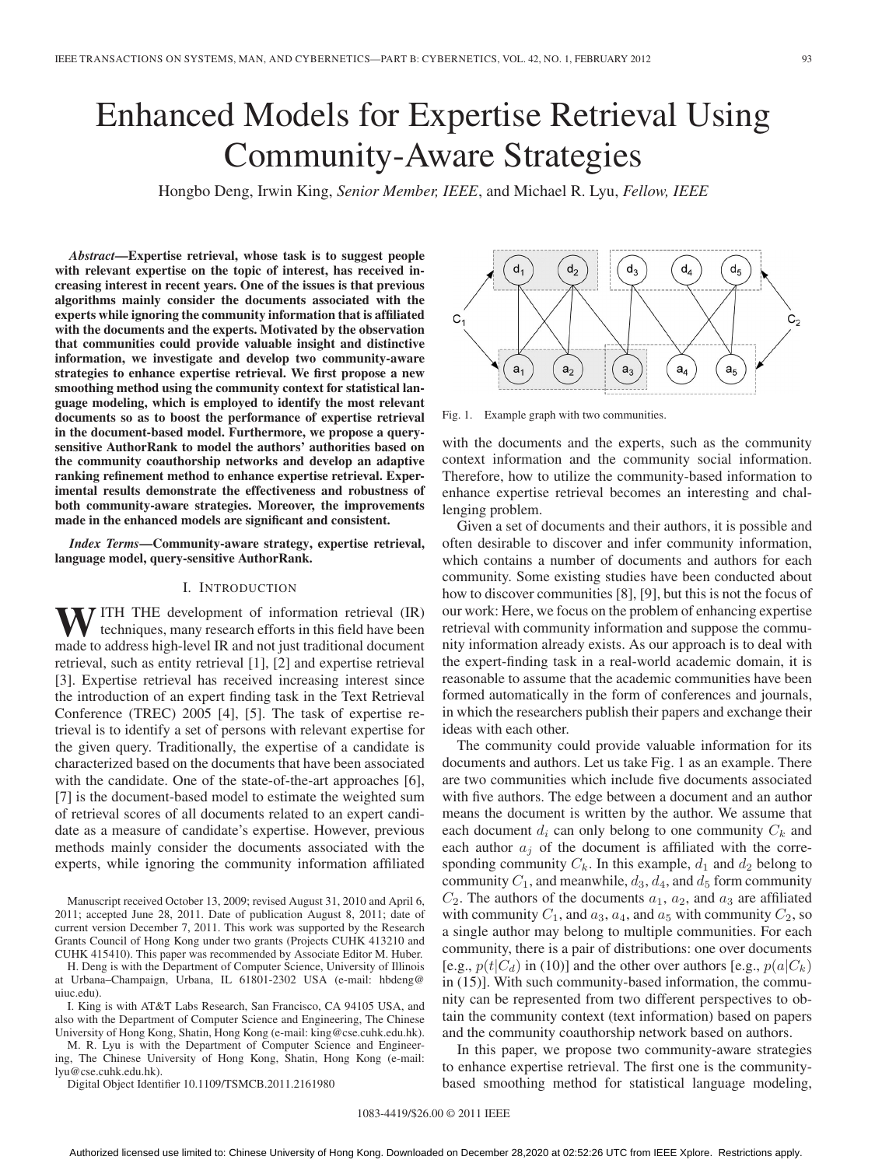# Enhanced Models for Expertise Retrieval Using Community-Aware Strategies

Hongbo Deng, Irwin King, *Senior Member, IEEE*, and Michael R. Lyu, *Fellow, IEEE*

*Abstract***—Expertise retrieval, whose task is to suggest people with relevant expertise on the topic of interest, has received increasing interest in recent years. One of the issues is that previous algorithms mainly consider the documents associated with the experts while ignoring the community information that is affiliated with the documents and the experts. Motivated by the observation that communities could provide valuable insight and distinctive information, we investigate and develop two community-aware strategies to enhance expertise retrieval. We first propose a new smoothing method using the community context for statistical language modeling, which is employed to identify the most relevant documents so as to boost the performance of expertise retrieval in the document-based model. Furthermore, we propose a querysensitive AuthorRank to model the authors' authorities based on the community coauthorship networks and develop an adaptive ranking refinement method to enhance expertise retrieval. Experimental results demonstrate the effectiveness and robustness of both community-aware strategies. Moreover, the improvements made in the enhanced models are significant and consistent.**

*Index Terms***—Community-aware strategy, expertise retrieval, language model, query-sensitive AuthorRank.**

## I. INTRODUCTION

**W**ITH THE development of information retrieval (IR) techniques, many research efforts in this field have been made to address high-level IR and not just traditional document retrieval, such as entity retrieval [1], [2] and expertise retrieval [3]. Expertise retrieval has received increasing interest since the introduction of an expert finding task in the Text Retrieval Conference (TREC) 2005 [4], [5]. The task of expertise retrieval is to identify a set of persons with relevant expertise for the given query. Traditionally, the expertise of a candidate is characterized based on the documents that have been associated with the candidate. One of the state-of-the-art approaches [6], [7] is the document-based model to estimate the weighted sum of retrieval scores of all documents related to an expert candidate as a measure of candidate's expertise. However, previous methods mainly consider the documents associated with the experts, while ignoring the community information affiliated

Manuscript received October 13, 2009; revised August 31, 2010 and April 6, 2011; accepted June 28, 2011. Date of publication August 8, 2011; date of current version December 7, 2011. This work was supported by the Research Grants Council of Hong Kong under two grants (Projects CUHK 413210 and CUHK 415410). This paper was recommended by Associate Editor M. Huber.

H. Deng is with the Department of Computer Science, University of Illinois at Urbana–Champaign, Urbana, IL 61801-2302 USA (e-mail: hbdeng@ uiuc.edu).

I. King is with AT&T Labs Research, San Francisco, CA 94105 USA, and also with the Department of Computer Science and Engineering, The Chinese University of Hong Kong, Shatin, Hong Kong (e-mail: king@cse.cuhk.edu.hk).

M. R. Lyu is with the Department of Computer Science and Engineering, The Chinese University of Hong Kong, Shatin, Hong Kong (e-mail: lyu@cse.cuhk.edu.hk).

Digital Object Identifier 10.1109/TSMCB.2011.2161980

 $d_4$  $d<sub>1</sub>$  $d_3$  $d<sub>2</sub>$  $\mathsf{d}_5$  $C<sub>2</sub>$  $a<sub>1</sub>$  $a<sub>2</sub>$  $a<sub>3</sub>$  $a<sub>4</sub>$  $a<sub>5</sub>$ 

Fig. 1. Example graph with two communities.

with the documents and the experts, such as the community context information and the community social information. Therefore, how to utilize the community-based information to enhance expertise retrieval becomes an interesting and challenging problem.

Given a set of documents and their authors, it is possible and often desirable to discover and infer community information, which contains a number of documents and authors for each community. Some existing studies have been conducted about how to discover communities [8], [9], but this is not the focus of our work: Here, we focus on the problem of enhancing expertise retrieval with community information and suppose the community information already exists. As our approach is to deal with the expert-finding task in a real-world academic domain, it is reasonable to assume that the academic communities have been formed automatically in the form of conferences and journals, in which the researchers publish their papers and exchange their ideas with each other.

The community could provide valuable information for its documents and authors. Let us take Fig. 1 as an example. There are two communities which include five documents associated with five authors. The edge between a document and an author means the document is written by the author. We assume that each document  $d_i$  can only belong to one community  $C_k$  and each author  $a_j$  of the document is affiliated with the corresponding community  $C_k$ . In this example,  $d_1$  and  $d_2$  belong to community  $C_1$ , and meanwhile,  $d_3$ ,  $d_4$ , and  $d_5$  form community  $C_2$ . The authors of the documents  $a_1$ ,  $a_2$ , and  $a_3$  are affiliated with community  $C_1$ , and  $a_3$ ,  $a_4$ , and  $a_5$  with community  $C_2$ , so a single author may belong to multiple communities. For each community, there is a pair of distributions: one over documents [e.g.,  $p(t|C_d)$  in (10)] and the other over authors [e.g.,  $p(a|C_k)$ ] in (15)]. With such community-based information, the community can be represented from two different perspectives to obtain the community context (text information) based on papers and the community coauthorship network based on authors.

In this paper, we propose two community-aware strategies to enhance expertise retrieval. The first one is the communitybased smoothing method for statistical language modeling,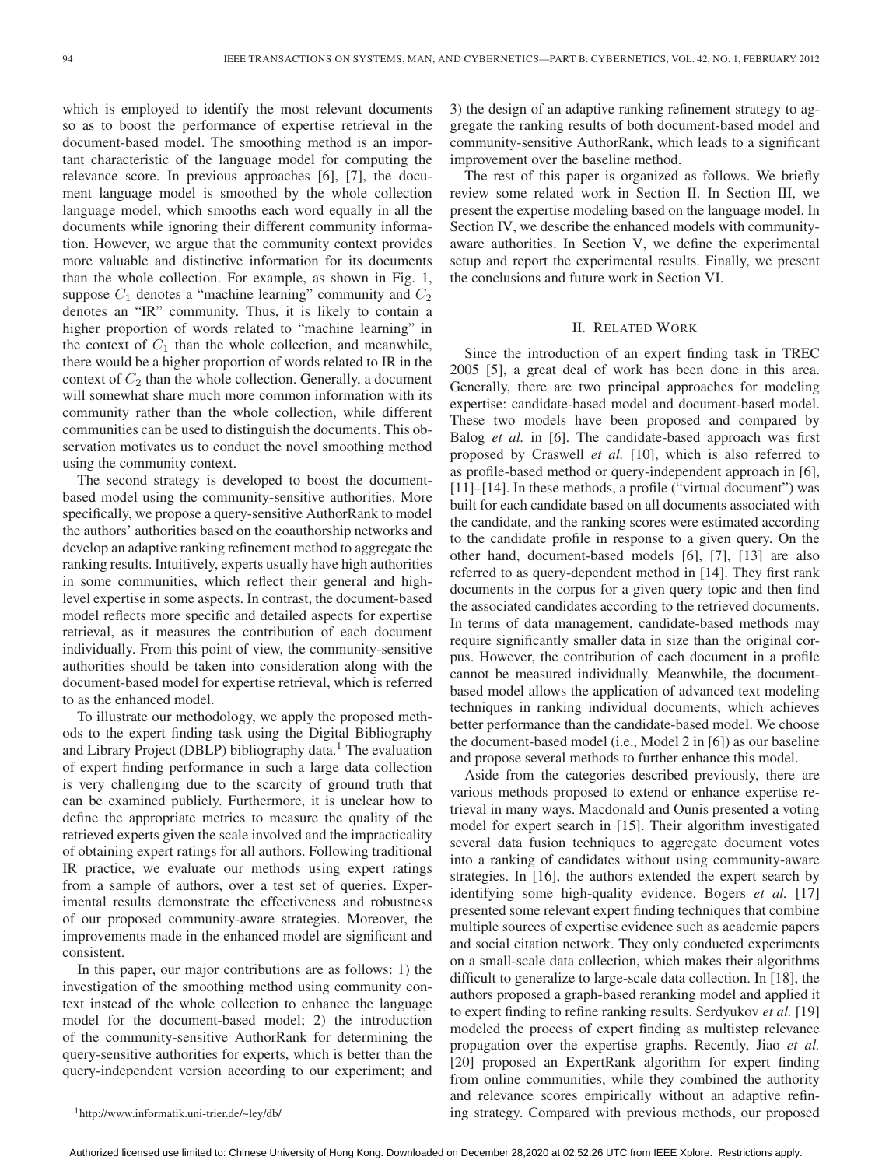which is employed to identify the most relevant documents so as to boost the performance of expertise retrieval in the document-based model. The smoothing method is an important characteristic of the language model for computing the relevance score. In previous approaches [6], [7], the document language model is smoothed by the whole collection language model, which smooths each word equally in all the documents while ignoring their different community information. However, we argue that the community context provides more valuable and distinctive information for its documents than the whole collection. For example, as shown in Fig. 1, suppose  $C_1$  denotes a "machine learning" community and  $C_2$ denotes an "IR" community. Thus, it is likely to contain a higher proportion of words related to "machine learning" in the context of  $C_1$  than the whole collection, and meanwhile, there would be a higher proportion of words related to IR in the context of  $C_2$  than the whole collection. Generally, a document will somewhat share much more common information with its community rather than the whole collection, while different communities can be used to distinguish the documents. This observation motivates us to conduct the novel smoothing method using the community context.

The second strategy is developed to boost the documentbased model using the community-sensitive authorities. More specifically, we propose a query-sensitive AuthorRank to model the authors' authorities based on the coauthorship networks and develop an adaptive ranking refinement method to aggregate the ranking results. Intuitively, experts usually have high authorities in some communities, which reflect their general and highlevel expertise in some aspects. In contrast, the document-based model reflects more specific and detailed aspects for expertise retrieval, as it measures the contribution of each document individually. From this point of view, the community-sensitive authorities should be taken into consideration along with the document-based model for expertise retrieval, which is referred to as the enhanced model.

To illustrate our methodology, we apply the proposed methods to the expert finding task using the Digital Bibliography and Library Project (DBLP) bibliography data.<sup>1</sup> The evaluation of expert finding performance in such a large data collection is very challenging due to the scarcity of ground truth that can be examined publicly. Furthermore, it is unclear how to define the appropriate metrics to measure the quality of the retrieved experts given the scale involved and the impracticality of obtaining expert ratings for all authors. Following traditional IR practice, we evaluate our methods using expert ratings from a sample of authors, over a test set of queries. Experimental results demonstrate the effectiveness and robustness of our proposed community-aware strategies. Moreover, the improvements made in the enhanced model are significant and consistent.

In this paper, our major contributions are as follows: 1) the investigation of the smoothing method using community context instead of the whole collection to enhance the language model for the document-based model; 2) the introduction of the community-sensitive AuthorRank for determining the query-sensitive authorities for experts, which is better than the query-independent version according to our experiment; and 3) the design of an adaptive ranking refinement strategy to aggregate the ranking results of both document-based model and community-sensitive AuthorRank, which leads to a significant improvement over the baseline method.

The rest of this paper is organized as follows. We briefly review some related work in Section II. In Section III, we present the expertise modeling based on the language model. In Section IV, we describe the enhanced models with communityaware authorities. In Section V, we define the experimental setup and report the experimental results. Finally, we present the conclusions and future work in Section VI.

## II. RELATED WORK

Since the introduction of an expert finding task in TREC 2005 [5], a great deal of work has been done in this area. Generally, there are two principal approaches for modeling expertise: candidate-based model and document-based model. These two models have been proposed and compared by Balog *et al.* in [6]. The candidate-based approach was first proposed by Craswell *et al.* [10], which is also referred to as profile-based method or query-independent approach in [6], [11]–[14]. In these methods, a profile ("virtual document") was built for each candidate based on all documents associated with the candidate, and the ranking scores were estimated according to the candidate profile in response to a given query. On the other hand, document-based models [6], [7], [13] are also referred to as query-dependent method in [14]. They first rank documents in the corpus for a given query topic and then find the associated candidates according to the retrieved documents. In terms of data management, candidate-based methods may require significantly smaller data in size than the original corpus. However, the contribution of each document in a profile cannot be measured individually. Meanwhile, the documentbased model allows the application of advanced text modeling techniques in ranking individual documents, which achieves better performance than the candidate-based model. We choose the document-based model (i.e., Model 2 in [6]) as our baseline and propose several methods to further enhance this model.

Aside from the categories described previously, there are various methods proposed to extend or enhance expertise retrieval in many ways. Macdonald and Ounis presented a voting model for expert search in [15]. Their algorithm investigated several data fusion techniques to aggregate document votes into a ranking of candidates without using community-aware strategies. In [16], the authors extended the expert search by identifying some high-quality evidence. Bogers *et al.* [17] presented some relevant expert finding techniques that combine multiple sources of expertise evidence such as academic papers and social citation network. They only conducted experiments on a small-scale data collection, which makes their algorithms difficult to generalize to large-scale data collection. In [18], the authors proposed a graph-based reranking model and applied it to expert finding to refine ranking results. Serdyukov *et al.* [19] modeled the process of expert finding as multistep relevance propagation over the expertise graphs. Recently, Jiao *et al.* [20] proposed an ExpertRank algorithm for expert finding from online communities, while they combined the authority and relevance scores empirically without an adaptive refining strategy. Compared with previous methods, our proposed

<sup>1</sup>http://www.informatik.uni-trier.de/~ley/db/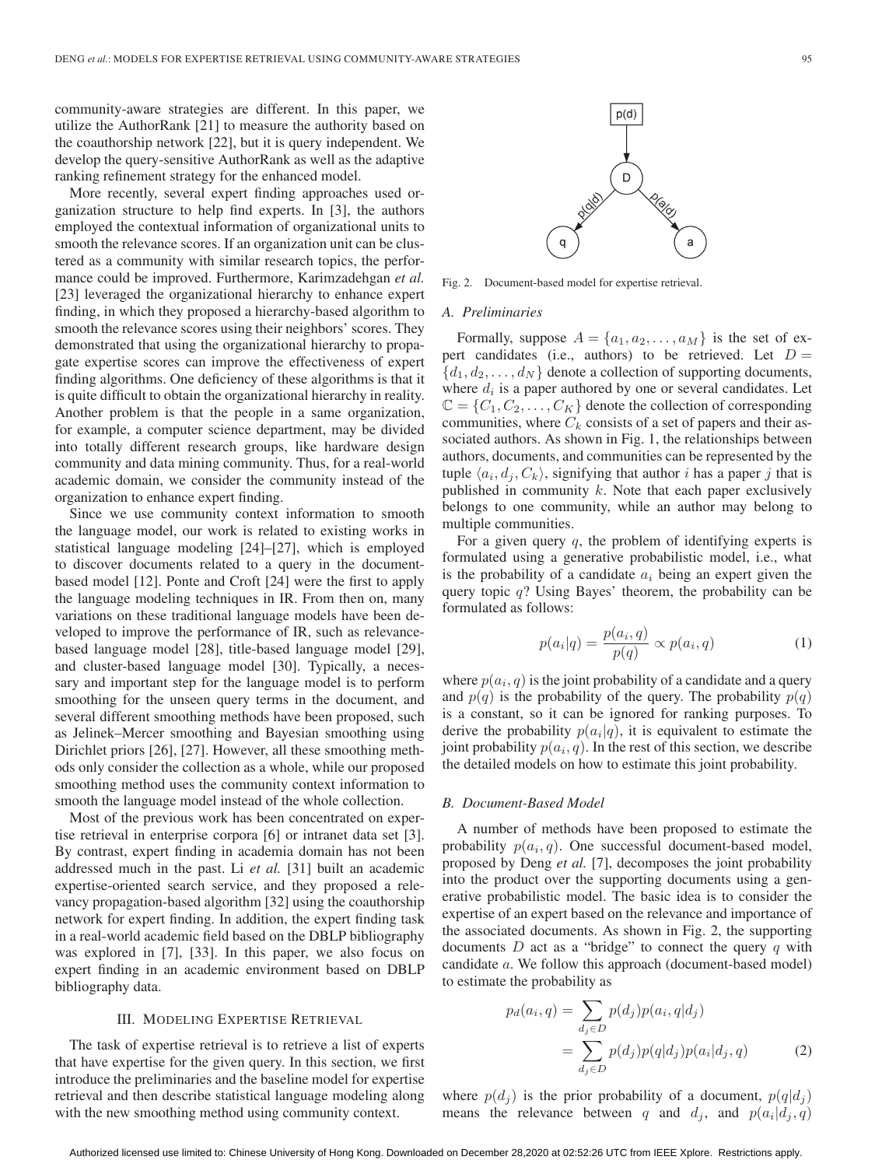community-aware strategies are different. In this paper, we utilize the AuthorRank [21] to measure the authority based on the coauthorship network [22], but it is query independent. We develop the query-sensitive AuthorRank as well as the adaptive ranking refinement strategy for the enhanced model.

More recently, several expert finding approaches used organization structure to help find experts. In [3], the authors employed the contextual information of organizational units to smooth the relevance scores. If an organization unit can be clustered as a community with similar research topics, the performance could be improved. Furthermore, Karimzadehgan *et al.* [23] leveraged the organizational hierarchy to enhance expert finding, in which they proposed a hierarchy-based algorithm to smooth the relevance scores using their neighbors' scores. They demonstrated that using the organizational hierarchy to propagate expertise scores can improve the effectiveness of expert finding algorithms. One deficiency of these algorithms is that it is quite difficult to obtain the organizational hierarchy in reality. Another problem is that the people in a same organization, for example, a computer science department, may be divided into totally different research groups, like hardware design community and data mining community. Thus, for a real-world academic domain, we consider the community instead of the organization to enhance expert finding.

Since we use community context information to smooth the language model, our work is related to existing works in statistical language modeling [24]–[27], which is employed to discover documents related to a query in the documentbased model [12]. Ponte and Croft [24] were the first to apply the language modeling techniques in IR. From then on, many variations on these traditional language models have been developed to improve the performance of IR, such as relevancebased language model [28], title-based language model [29], and cluster-based language model [30]. Typically, a necessary and important step for the language model is to perform smoothing for the unseen query terms in the document, and several different smoothing methods have been proposed, such as Jelinek–Mercer smoothing and Bayesian smoothing using Dirichlet priors [26], [27]. However, all these smoothing methods only consider the collection as a whole, while our proposed smoothing method uses the community context information to smooth the language model instead of the whole collection.

Most of the previous work has been concentrated on expertise retrieval in enterprise corpora [6] or intranet data set [3]. By contrast, expert finding in academia domain has not been addressed much in the past. Li *et al.* [31] built an academic expertise-oriented search service, and they proposed a relevancy propagation-based algorithm [32] using the coauthorship network for expert finding. In addition, the expert finding task in a real-world academic field based on the DBLP bibliography was explored in [7], [33]. In this paper, we also focus on expert finding in an academic environment based on DBLP bibliography data.

## III. MODELING EXPERTISE RETRIEVAL

The task of expertise retrieval is to retrieve a list of experts that have expertise for the given query. In this section, we first introduce the preliminaries and the baseline model for expertise retrieval and then describe statistical language modeling along with the new smoothing method using community context.



Fig. 2. Document-based model for expertise retrieval.

#### *A. Preliminaries*

Formally, suppose  $A = \{a_1, a_2, \dots, a_M\}$  is the set of expert candidates (i.e., authors) to be retrieved. Let  $D =$  $\{d_1, d_2, \ldots, d_N\}$  denote a collection of supporting documents, where  $d_i$  is a paper authored by one or several candidates. Let  $\mathbb{C} = \{C_1, C_2, \ldots, C_K\}$  denote the collection of corresponding communities, where  $C_k$  consists of a set of papers and their associated authors. As shown in Fig. 1, the relationships between authors, documents, and communities can be represented by the tuple  $\langle a_i, d_j, C_k \rangle$ , signifying that author *i* has a paper *j* that is published in community  $k$ . Note that each paper exclusively belongs to one community, while an author may belong to multiple communities.

For a given query  $q$ , the problem of identifying experts is formulated using a generative probabilistic model, i.e., what is the probability of a candidate  $a_i$  being an expert given the query topic  $q$ ? Using Bayes' theorem, the probability can be formulated as follows:

$$
p(a_i|q) = \frac{p(a_i, q)}{p(q)} \propto p(a_i, q)
$$
 (1)

where  $p(a_i, q)$  is the joint probability of a candidate and a query and  $p(q)$  is the probability of the query. The probability  $p(q)$ is a constant, so it can be ignored for ranking purposes. To derive the probability  $p(a_i|q)$ , it is equivalent to estimate the joint probability  $p(a_i, q)$ . In the rest of this section, we describe the detailed models on how to estimate this joint probability.

#### *B. Document-Based Model*

A number of methods have been proposed to estimate the probability  $p(a_i, q)$ . One successful document-based model, proposed by Deng *et al.* [7], decomposes the joint probability into the product over the supporting documents using a generative probabilistic model. The basic idea is to consider the expertise of an expert based on the relevance and importance of the associated documents. As shown in Fig. 2, the supporting documents  $D$  act as a "bridge" to connect the query  $q$  with candidate a. We follow this approach (document-based model) to estimate the probability as

$$
p_d(a_i, q) = \sum_{d_j \in D} p(d_j) p(a_i, q|d_j)
$$
  
= 
$$
\sum_{d_j \in D} p(d_j) p(q|d_j) p(a_i|d_j, q)
$$
 (2)

where  $p(d_i)$  is the prior probability of a document,  $p(q|d_i)$ means the relevance between q and  $d_i$ , and  $p(a_i|d_i, q)$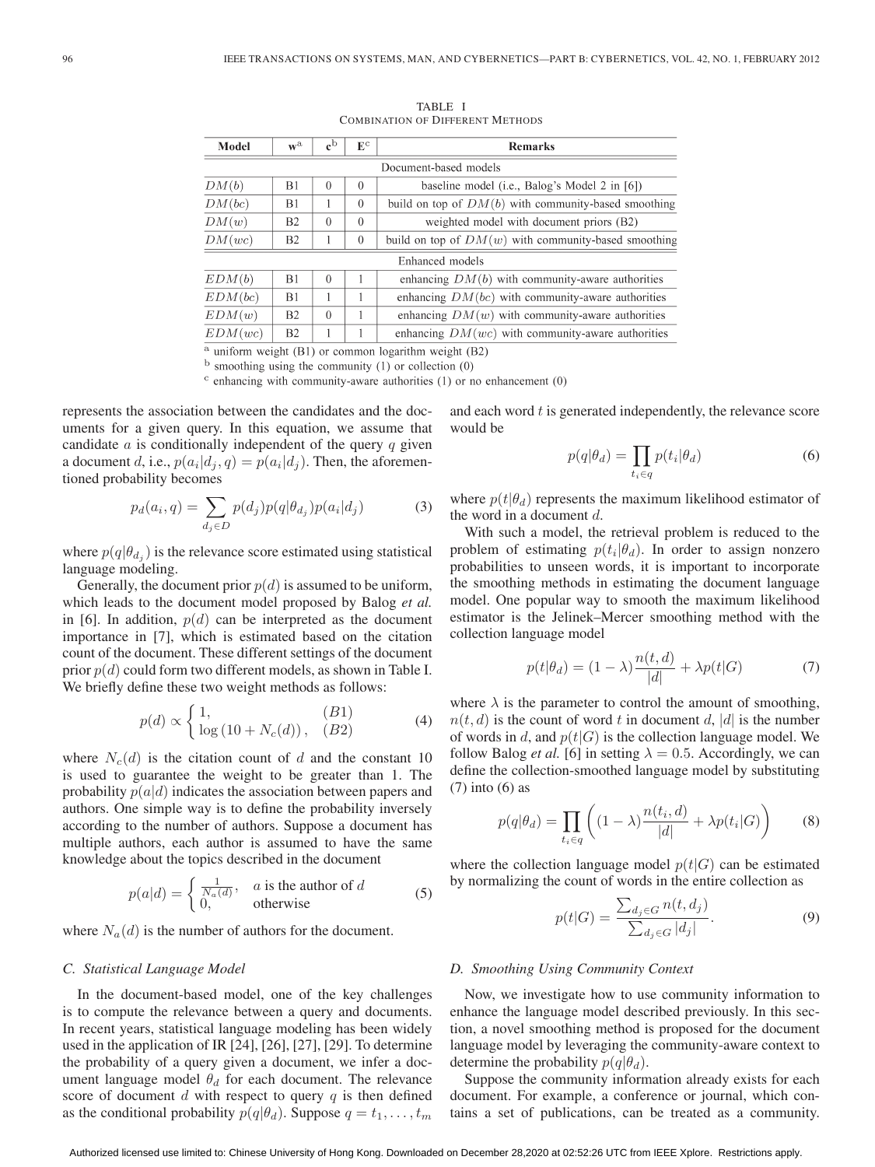| Model          | $\mathbf{w}^{\mathrm{a}}$ | $\mathbf{c}^{\mathrm{b}}$ | $\mathbb{E}^{\mathrm{c}}$ | <b>Remarks</b>                                            |  |  |  |
|----------------|---------------------------|---------------------------|---------------------------|-----------------------------------------------------------|--|--|--|
|                |                           |                           |                           | Document-based models                                     |  |  |  |
| DM(b)          | B1                        | $\Omega$                  | $\theta$                  | baseline model (i.e., Balog's Model 2 in [6])             |  |  |  |
| DM(bc)         | B1                        |                           | $\Omega$                  | build on top of $DM(b)$ with community-based smoothing    |  |  |  |
| DM(w)          | B <sub>2</sub>            | $\Omega$                  | $\theta$                  | weighted model with document priors (B2)                  |  |  |  |
| DM(wc)         | <b>B2</b>                 |                           | $\theta$                  | build on top of $DM(w)$ with community-based smoothing    |  |  |  |
|                |                           |                           |                           | Enhanced models                                           |  |  |  |
| EDM(b)         | B1                        | $\Omega$                  |                           | enhancing $DM(b)$ with community-aware authorities        |  |  |  |
| EDM(bc)        | B1                        |                           |                           | enhancing $DM(bc)$ with community-aware authorities       |  |  |  |
| EDM(w)         | B <sub>2</sub>            | $\Omega$                  |                           | enhancing $DM(w)$ with community-aware authorities        |  |  |  |
| EDM(wc)        | B2                        |                           |                           | enhancing $DM(wc)$ with community-aware authorities       |  |  |  |
| $\cdot$ $\sim$ | 1.771                     |                           |                           | $\mathbf{1}$ $\mathbf{m}$<br><b>All the Common Common</b> |  |  |  |

TABLE I COMBINATION OF DIFFERENT METHODS

 $^{\rm a}$  uniform weight (B1) or common logarithm weight (B2)

 $<sup>b</sup>$  smoothing using the community (1) or collection (0)</sup>

 $\circ$  enhancing with community-aware authorities (1) or no enhancement (0)

represents the association between the candidates and the documents for a given query. In this equation, we assume that candidate  $a$  is conditionally independent of the query  $q$  given a document d, i.e.,  $p(a_i|d_i, q) = p(a_i|d_i)$ . Then, the aforementioned probability becomes

$$
p_d(a_i, q) = \sum_{d_j \in D} p(d_j) p(q | \theta_{d_j}) p(a_i | d_j)
$$
 (3)

where  $p(q|\theta_{d_i})$  is the relevance score estimated using statistical language modeling.

Generally, the document prior  $p(d)$  is assumed to be uniform, which leads to the document model proposed by Balog *et al.* in [6]. In addition,  $p(d)$  can be interpreted as the document importance in [7], which is estimated based on the citation count of the document. These different settings of the document prior  $p(d)$  could form two different models, as shown in Table I. We briefly define these two weight methods as follows:

$$
p(d) \propto \begin{cases} 1, & (B1) \\ \log(10 + N_c(d)), & (B2) \end{cases}
$$
 (4)

where  $N_c(d)$  is the citation count of d and the constant 10 is used to guarantee the weight to be greater than 1. The probability  $p(a|d)$  indicates the association between papers and authors. One simple way is to define the probability inversely according to the number of authors. Suppose a document has multiple authors, each author is assumed to have the same knowledge about the topics described in the document

$$
p(a|d) = \begin{cases} \frac{1}{N_a(d)}, & a \text{ is the author of } d \\ 0, & \text{otherwise} \end{cases}
$$
 (5)

where  $N_a(d)$  is the number of authors for the document.

#### *C. Statistical Language Model*

In the document-based model, one of the key challenges is to compute the relevance between a query and documents. In recent years, statistical language modeling has been widely used in the application of IR [24], [26], [27], [29]. To determine the probability of a query given a document, we infer a document language model  $\theta_d$  for each document. The relevance score of document  $d$  with respect to query  $q$  is then defined as the conditional probability  $p(q|\theta_d)$ . Suppose  $q = t_1, \ldots, t_m$ 

and each word  $t$  is generated independently, the relevance score would be

$$
p(q|\theta_d) = \prod_{t_i \in q} p(t_i|\theta_d)
$$
 (6)

where  $p(t|\theta_d)$  represents the maximum likelihood estimator of the word in a document d.

With such a model, the retrieval problem is reduced to the problem of estimating  $p(t_i|\theta_d)$ . In order to assign nonzero probabilities to unseen words, it is important to incorporate the smoothing methods in estimating the document language model. One popular way to smooth the maximum likelihood estimator is the Jelinek–Mercer smoothing method with the collection language model

$$
p(t|\theta_d) = (1 - \lambda) \frac{n(t, d)}{|d|} + \lambda p(t|G)
$$
\n<sup>(7)</sup>

where  $\lambda$  is the parameter to control the amount of smoothing,  $n(t, d)$  is the count of word t in document d, |d| is the number of words in d, and  $p(t|G)$  is the collection language model. We follow Balog *et al.* [6] in setting  $\lambda = 0.5$ . Accordingly, we can define the collection-smoothed language model by substituting (7) into (6) as

$$
p(q|\theta_d) = \prod_{t_i \in q} \left( (1-\lambda) \frac{n(t_i, d)}{|d|} + \lambda p(t_i|G) \right) \tag{8}
$$

where the collection language model  $p(t|G)$  can be estimated by normalizing the count of words in the entire collection as

$$
p(t|G) = \frac{\sum_{d_j \in G} n(t, d_j)}{\sum_{d_j \in G} |d_j|}.
$$
\n
$$
(9)
$$

#### *D. Smoothing Using Community Context*

Now, we investigate how to use community information to enhance the language model described previously. In this section, a novel smoothing method is proposed for the document language model by leveraging the community-aware context to determine the probability  $p(q|\theta_d)$ .

Suppose the community information already exists for each document. For example, a conference or journal, which contains a set of publications, can be treated as a community.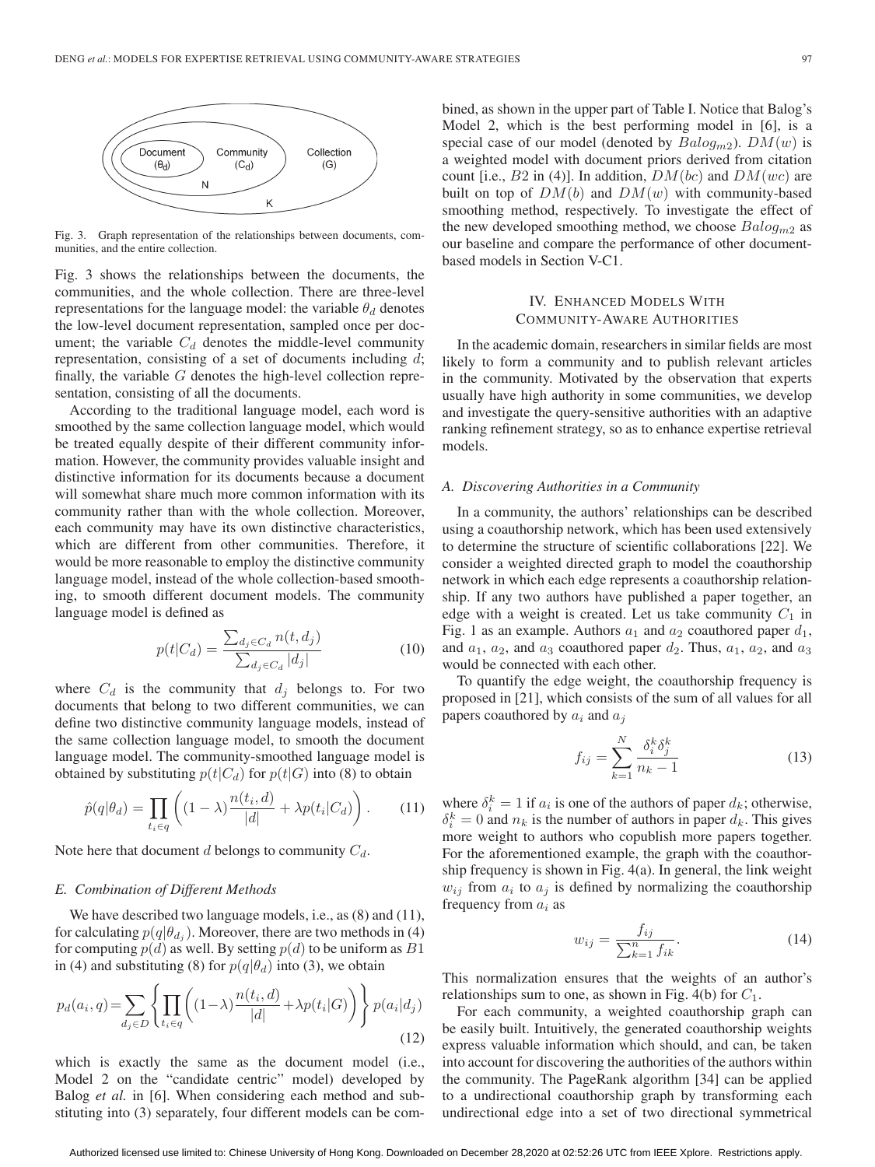

Fig. 3. Graph representation of the relationships between documents, communities, and the entire collection.

Fig. 3 shows the relationships between the documents, the communities, and the whole collection. There are three-level representations for the language model: the variable  $\theta_d$  denotes the low-level document representation, sampled once per document; the variable  $C_d$  denotes the middle-level community representation, consisting of a set of documents including  $d$ ; finally, the variable  $G$  denotes the high-level collection representation, consisting of all the documents.

According to the traditional language model, each word is smoothed by the same collection language model, which would be treated equally despite of their different community information. However, the community provides valuable insight and distinctive information for its documents because a document will somewhat share much more common information with its community rather than with the whole collection. Moreover, each community may have its own distinctive characteristics, which are different from other communities. Therefore, it would be more reasonable to employ the distinctive community language model, instead of the whole collection-based smoothing, to smooth different document models. The community language model is defined as

$$
p(t|C_d) = \frac{\sum_{d_j \in C_d} n(t, d_j)}{\sum_{d_j \in C_d} |d_j|}
$$
(10)

where  $C_d$  is the community that  $d_i$  belongs to. For two documents that belong to two different communities, we can define two distinctive community language models, instead of the same collection language model, to smooth the document language model. The community-smoothed language model is obtained by substituting  $p(t|C_d)$  for  $p(t|G)$  into (8) to obtain

$$
\hat{p}(q|\theta_d) = \prod_{t_i \in q} \left( (1-\lambda) \frac{n(t_i, d)}{|d|} + \lambda p(t_i | C_d) \right). \tag{11}
$$

Note here that document  $d$  belongs to community  $C_d$ .

## *E. Combination of Different Methods*

We have described two language models, i.e., as  $(8)$  and  $(11)$ , for calculating  $p(q|\theta_{d_i})$ . Moreover, there are two methods in (4) for computing  $p(d)$  as well. By setting  $p(d)$  to be uniform as  $B1$ in (4) and substituting (8) for  $p(q|\theta_d)$  into (3), we obtain

$$
p_d(a_i, q) = \sum_{d_j \in D} \left\{ \prod_{t_i \in q} \left( (1 - \lambda) \frac{n(t_i, d)}{|d|} + \lambda p(t_i | G) \right) \right\} p(a_i | d_j)
$$
\n(12)

which is exactly the same as the document model (i.e., Model 2 on the "candidate centric" model) developed by Balog *et al.* in [6]. When considering each method and substituting into (3) separately, four different models can be combined, as shown in the upper part of Table I. Notice that Balog's Model 2, which is the best performing model in [6], is a special case of our model (denoted by  $Baloq_{m2}$ ).  $DM(w)$  is a weighted model with document priors derived from citation count [i.e.,  $B2$  in (4)]. In addition,  $DM(bc)$  and  $DM(wc)$  are built on top of  $DM(b)$  and  $DM(w)$  with community-based smoothing method, respectively. To investigate the effect of the new developed smoothing method, we choose  $Balog_{m2}$  as our baseline and compare the performance of other documentbased models in Section V-C1.

## IV. ENHANCED MODELS WITH COMMUNITY-AWARE AUTHORITIES

In the academic domain, researchers in similar fields are most likely to form a community and to publish relevant articles in the community. Motivated by the observation that experts usually have high authority in some communities, we develop and investigate the query-sensitive authorities with an adaptive ranking refinement strategy, so as to enhance expertise retrieval models.

## *A. Discovering Authorities in a Community*

In a community, the authors' relationships can be described using a coauthorship network, which has been used extensively to determine the structure of scientific collaborations [22]. We consider a weighted directed graph to model the coauthorship network in which each edge represents a coauthorship relationship. If any two authors have published a paper together, an edge with a weight is created. Let us take community  $C_1$  in Fig. 1 as an example. Authors  $a_1$  and  $a_2$  coauthored paper  $d_1$ , and  $a_1$ ,  $a_2$ , and  $a_3$  coauthored paper  $d_2$ . Thus,  $a_1$ ,  $a_2$ , and  $a_3$ would be connected with each other.

To quantify the edge weight, the coauthorship frequency is proposed in [21], which consists of the sum of all values for all papers coauthored by  $a_i$  and  $a_j$ 

$$
f_{ij} = \sum_{k=1}^{N} \frac{\delta_i^k \delta_j^k}{n_k - 1}
$$
 (13)

where  $\delta_i^k = 1$  if  $a_i$  is one of the authors of paper  $d_k$ ; otherwise,  $\delta_i^k = 0$  and  $n_k$  is the number of authors in paper  $d_k$ . This gives more weight to authors who copublish more papers together. For the aforementioned example, the graph with the coauthorship frequency is shown in Fig. 4(a). In general, the link weight  $w_{ij}$  from  $a_i$  to  $a_j$  is defined by normalizing the coauthorship frequency from  $a_i$  as

$$
w_{ij} = \frac{f_{ij}}{\sum_{k=1}^{n} f_{ik}}.
$$
 (14)

This normalization ensures that the weights of an author's relationships sum to one, as shown in Fig. 4(b) for  $C_1$ .

For each community, a weighted coauthorship graph can be easily built. Intuitively, the generated coauthorship weights express valuable information which should, and can, be taken into account for discovering the authorities of the authors within the community. The PageRank algorithm [34] can be applied to a undirectional coauthorship graph by transforming each undirectional edge into a set of two directional symmetrical

Authorized licensed use limited to: Chinese University of Hong Kong. Downloaded on December 28,2020 at 02:52:26 UTC from IEEE Xplore. Restrictions apply.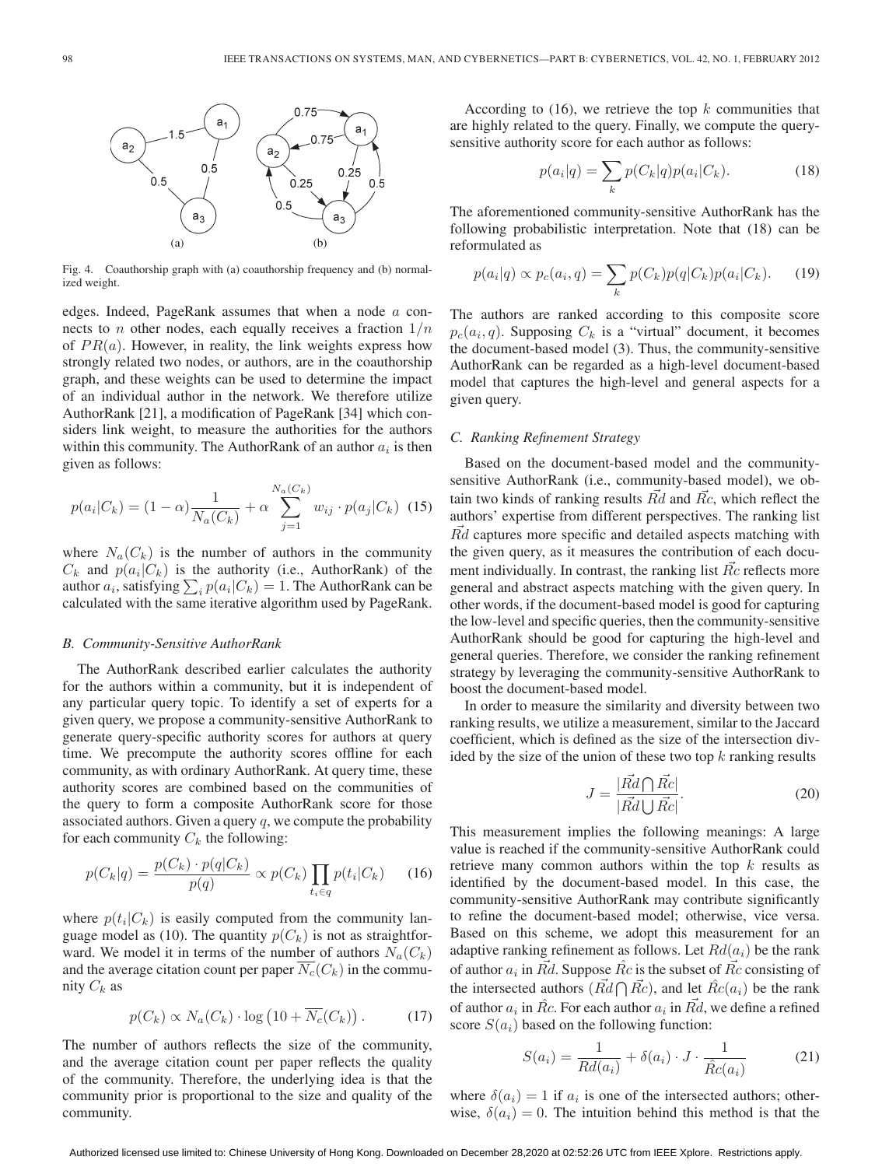

Fig. 4. Coauthorship graph with (a) coauthorship frequency and (b) normalized weight.

edges. Indeed, PageRank assumes that when a node a connects to *n* other nodes, each equally receives a fraction  $1/n$ of  $PR(a)$ . However, in reality, the link weights express how strongly related two nodes, or authors, are in the coauthorship graph, and these weights can be used to determine the impact of an individual author in the network. We therefore utilize AuthorRank [21], a modification of PageRank [34] which considers link weight, to measure the authorities for the authors within this community. The AuthorRank of an author  $a_i$  is then given as follows:

$$
p(a_i|C_k) = (1 - \alpha) \frac{1}{N_a(C_k)} + \alpha \sum_{j=1}^{N_a(C_k)} w_{ij} \cdot p(a_j|C_k) \tag{15}
$$

where  $N_a(C_k)$  is the number of authors in the community  $C_k$  and  $p(a_i|C_k)$  is the authority (i.e., AuthorRank) of the author  $a_i$ , satisfying  $\sum_i p(a_i|C_k)=1$ . The AuthorRank can be calculated with the same iterative algorithm used by PageRank.

#### *B. Community-Sensitive AuthorRank*

The AuthorRank described earlier calculates the authority for the authors within a community, but it is independent of any particular query topic. To identify a set of experts for a given query, we propose a community-sensitive AuthorRank to generate query-specific authority scores for authors at query time. We precompute the authority scores offline for each community, as with ordinary AuthorRank. At query time, these authority scores are combined based on the communities of the query to form a composite AuthorRank score for those associated authors. Given a query  $q$ , we compute the probability for each community  $C_k$  the following:

$$
p(C_k|q) = \frac{p(C_k) \cdot p(q|C_k)}{p(q)} \propto p(C_k) \prod_{t_i \in q} p(t_i|C_k)
$$
 (16)

where  $p(t_i|C_k)$  is easily computed from the community language model as (10). The quantity  $p(C_k)$  is not as straightforward. We model it in terms of the number of authors  $N_a(C_k)$ and the average citation count per paper  $\overline{N_c}(C_k)$  in the community  $C_k$  as

$$
p(C_k) \propto N_a(C_k) \cdot \log(10 + \overline{N_c}(C_k)). \tag{17}
$$

The number of authors reflects the size of the community, and the average citation count per paper reflects the quality of the community. Therefore, the underlying idea is that the community prior is proportional to the size and quality of the community.

According to  $(16)$ , we retrieve the top  $k$  communities that are highly related to the query. Finally, we compute the querysensitive authority score for each author as follows:

$$
p(a_i|q) = \sum_k p(C_k|q)p(a_i|C_k).
$$
 (18)

The aforementioned community-sensitive AuthorRank has the following probabilistic interpretation. Note that (18) can be reformulated as

$$
p(a_i|q) \propto p_c(a_i,q) = \sum_k p(C_k)p(q|C_k)p(a_i|C_k). \tag{19}
$$

The authors are ranked according to this composite score  $p_c(a_i,q)$ . Supposing  $C_k$  is a "virtual" document, it becomes the document-based model (3). Thus, the community-sensitive AuthorRank can be regarded as a high-level document-based model that captures the high-level and general aspects for a given query.

#### *C. Ranking Refinement Strategy*

Based on the document-based model and the communitysensitive AuthorRank (i.e., community-based model), we obtain two kinds of ranking results  $Rd$  and  $Rc$ , which reflect the authors' expertise from different perspectives. The ranking list Rd captures more specific and detailed aspects matching with the given query, as it measures the contribution of each document individually. In contrast, the ranking list  $\vec{R}c$  reflects more general and abstract aspects matching with the given query. In other words, if the document-based model is good for capturing the low-level and specific queries, then the community-sensitive AuthorRank should be good for capturing the high-level and general queries. Therefore, we consider the ranking refinement strategy by leveraging the community-sensitive AuthorRank to boost the document-based model.

In order to measure the similarity and diversity between two ranking results, we utilize a measurement, similar to the Jaccard coefficient, which is defined as the size of the intersection divided by the size of the union of these two top  $k$  ranking results

$$
J = \frac{|\vec{Rd} \cap \vec{Rc}|}{|\vec{Rd} \cup \vec{Rc}|}.
$$
 (20)

This measurement implies the following meanings: A large value is reached if the community-sensitive AuthorRank could retrieve many common authors within the top  $k$  results as identified by the document-based model. In this case, the community-sensitive AuthorRank may contribute significantly to refine the document-based model; otherwise, vice versa. Based on this scheme, we adopt this measurement for an adaptive ranking refinement as follows. Let  $Rd(a_i)$  be the rank of author  $a_i$  in Rd. Suppose  $\hat{R}c$  is the subset of  $\vec{R}c$  consisting of the intersected authors  $(R\vec{d}\bigcap \vec{R}c)$ , and let  $\hat{R}c(a_i)$  be the rank of author  $a_i$  in  $\hat{R}c$ . For each author  $a_i$  in  $\hat{R}d$ , we define a refined score  $S(a_i)$  based on the following function:

$$
S(a_i) = \frac{1}{R d(a_i)} + \delta(a_i) \cdot J \cdot \frac{1}{\hat{R}c(a_i)}
$$
(21)

where  $\delta(a_i)=1$  if  $a_i$  is one of the intersected authors; otherwise,  $\delta(a_i)=0$ . The intuition behind this method is that the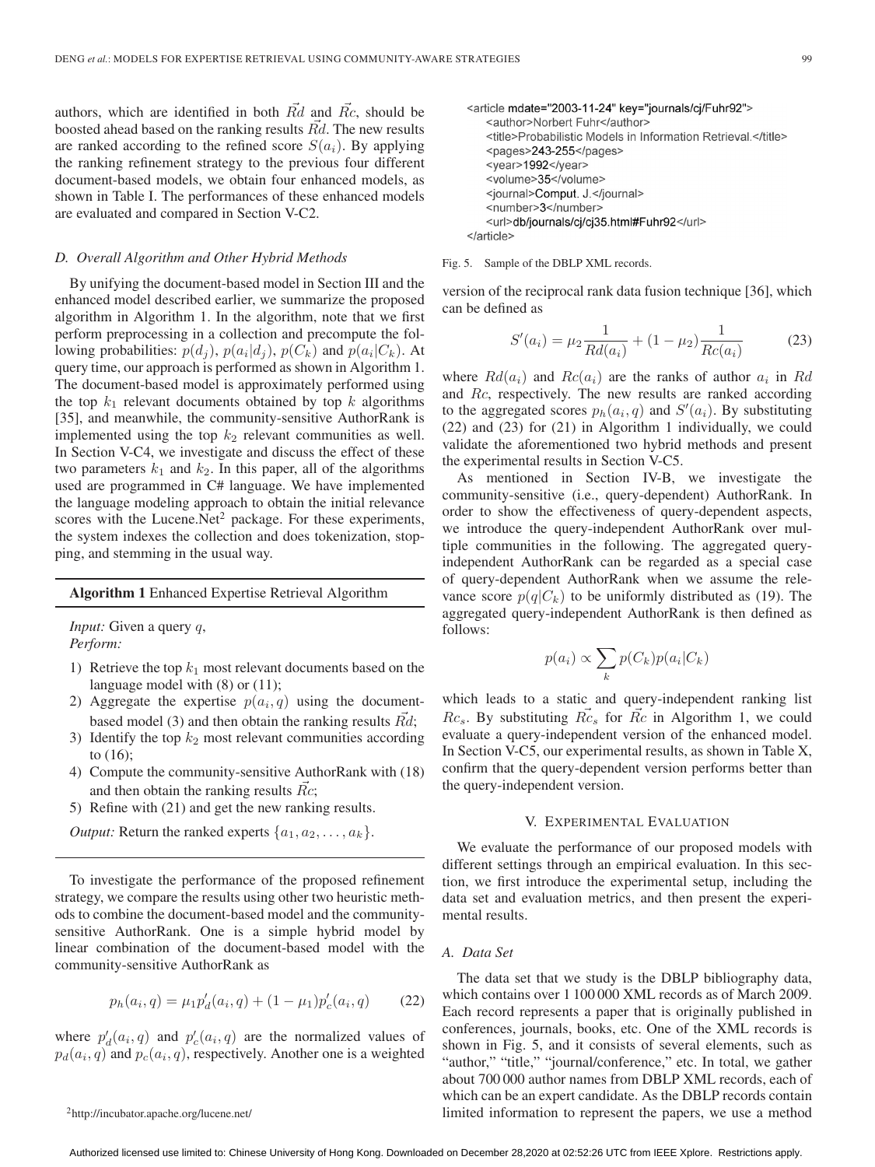authors, which are identified in both  $\vec{Rd}$  and  $\vec{Rc}$ , should be boosted ahead based on the ranking results  $\vec{R}d$ . The new results are ranked according to the refined score  $S(a_i)$ . By applying the ranking refinement strategy to the previous four different document-based models, we obtain four enhanced models, as shown in Table I. The performances of these enhanced models are evaluated and compared in Section V-C2.

## *D. Overall Algorithm and Other Hybrid Methods*

By unifying the document-based model in Section III and the enhanced model described earlier, we summarize the proposed algorithm in Algorithm 1. In the algorithm, note that we first perform preprocessing in a collection and precompute the following probabilities:  $p(d_i)$ ,  $p(a_i|d_i)$ ,  $p(C_k)$  and  $p(a_i|C_k)$ . At query time, our approach is performed as shown in Algorithm 1. The document-based model is approximately performed using the top  $k_1$  relevant documents obtained by top k algorithms [35], and meanwhile, the community-sensitive AuthorRank is implemented using the top  $k_2$  relevant communities as well. In Section V-C4, we investigate and discuss the effect of these two parameters  $k_1$  and  $k_2$ . In this paper, all of the algorithms used are programmed in C# language. We have implemented the language modeling approach to obtain the initial relevance scores with the Lucene.Net<sup>2</sup> package. For these experiments, the system indexes the collection and does tokenization, stopping, and stemming in the usual way.

#### **Algorithm 1** Enhanced Expertise Retrieval Algorithm

*Input:* Given a query q, *Perform:*

- 1) Retrieve the top  $k_1$  most relevant documents based on the language model with (8) or (11);
- 2) Aggregate the expertise  $p(a_i, q)$  using the documentbased model (3) and then obtain the ranking results  $\vec{R}d$ ;
- 3) Identify the top  $k_2$  most relevant communities according to (16);
- 4) Compute the community-sensitive AuthorRank with (18) and then obtain the ranking results  $Rc$ ;
- 5) Refine with (21) and get the new ranking results.

*Output:* Return the ranked experts  $\{a_1, a_2, \ldots, a_k\}$ .

To investigate the performance of the proposed refinement strategy, we compare the results using other two heuristic methods to combine the document-based model and the communitysensitive AuthorRank. One is a simple hybrid model by linear combination of the document-based model with the community-sensitive AuthorRank as

$$
p_h(a_i, q) = \mu_1 p'_d(a_i, q) + (1 - \mu_1) p'_c(a_i, q) \tag{22}
$$

where  $p'_d(a_i, q)$  and  $p'_c(a_i, q)$  are the normalized values of  $p_d(a_i,q)$  and  $p_c(a_i,q)$ , respectively. Another one is a weighted

```
2http://incubator.apache.org/lucene.net/
```

```
<article mdate="2003-11-24" key="journals/cj/Fuhr92">
   <author>Norbert Fuhr</author>
   <title>Probabilistic Models in Information Retrieval.</title>
   <pages>243-255</pages>
   <year>1992</year>
   <volume>35</volume>
   <journal>Comput. J.</journal>
   <number>3</number>
   <url>db/journals/cj/cj35.html#Fuhr92</url>
</article>
```
#### Fig. 5. Sample of the DBLP XML records.

version of the reciprocal rank data fusion technique [36], which can be defined as

$$
S'(a_i) = \mu_2 \frac{1}{R d(a_i)} + (1 - \mu_2) \frac{1}{R c(a_i)} \tag{23}
$$

where  $Rd(a_i)$  and  $Rc(a_i)$  are the ranks of author  $a_i$  in Rd and Rc, respectively. The new results are ranked according to the aggregated scores  $p_h(a_i, q)$  and  $S'(a_i)$ . By substituting (22) and (23) for (21) in Algorithm 1 individually, we could validate the aforementioned two hybrid methods and present the experimental results in Section V-C5.

As mentioned in Section IV-B, we investigate the community-sensitive (i.e., query-dependent) AuthorRank. In order to show the effectiveness of query-dependent aspects, we introduce the query-independent AuthorRank over multiple communities in the following. The aggregated queryindependent AuthorRank can be regarded as a special case of query-dependent AuthorRank when we assume the relevance score  $p(q|C_k)$  to be uniformly distributed as (19). The aggregated query-independent AuthorRank is then defined as follows:

$$
p(a_i) \propto \sum_k p(C_k) p(a_i | C_k)
$$

which leads to a static and query-independent ranking list  $Rc_s$ . By substituting  $\overline{Rc}_s$  for  $\overline{Rc}$  in Algorithm 1, we could evaluate a query-independent version of the enhanced model. In Section V-C5, our experimental results, as shown in Table X, confirm that the query-dependent version performs better than the query-independent version.

## V. EXPERIMENTAL EVALUATION

We evaluate the performance of our proposed models with different settings through an empirical evaluation. In this section, we first introduce the experimental setup, including the data set and evaluation metrics, and then present the experimental results.

## *A. Data Set*

The data set that we study is the DBLP bibliography data, which contains over 1 100 000 XML records as of March 2009. Each record represents a paper that is originally published in conferences, journals, books, etc. One of the XML records is shown in Fig. 5, and it consists of several elements, such as "author," "title," "journal/conference," etc. In total, we gather about 700 000 author names from DBLP XML records, each of which can be an expert candidate. As the DBLP records contain limited information to represent the papers, we use a method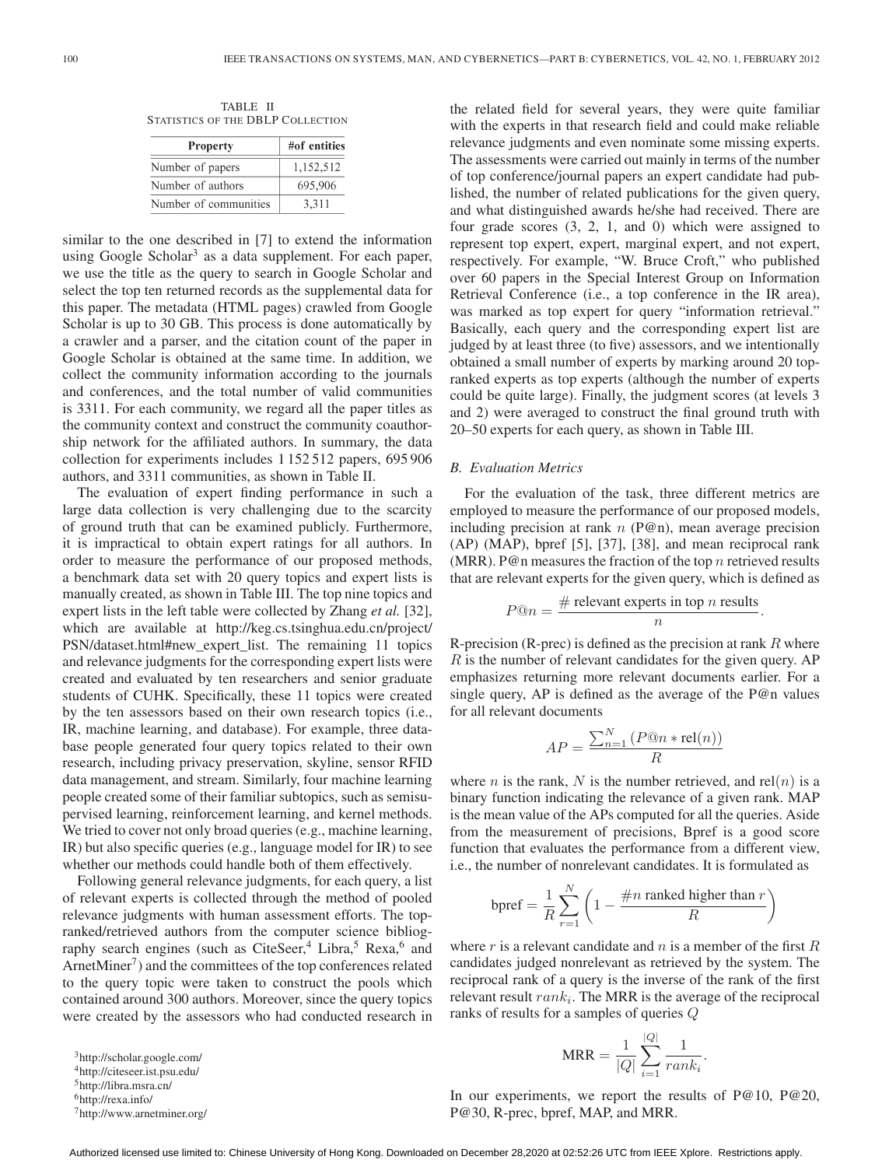TABLE II STATISTICS OF THE DBLP COLLECTION

| <b>Property</b>       | #of entities |
|-----------------------|--------------|
| Number of papers      | 1,152,512    |
| Number of authors     | 695,906      |
| Number of communities | 3.311        |

similar to the one described in [7] to extend the information using Google Scholar<sup>3</sup> as a data supplement. For each paper, we use the title as the query to search in Google Scholar and select the top ten returned records as the supplemental data for this paper. The metadata (HTML pages) crawled from Google Scholar is up to 30 GB. This process is done automatically by a crawler and a parser, and the citation count of the paper in Google Scholar is obtained at the same time. In addition, we collect the community information according to the journals and conferences, and the total number of valid communities is 3311. For each community, we regard all the paper titles as the community context and construct the community coauthorship network for the affiliated authors. In summary, the data collection for experiments includes 1 152 512 papers, 695 906 authors, and 3311 communities, as shown in Table II.

The evaluation of expert finding performance in such a large data collection is very challenging due to the scarcity of ground truth that can be examined publicly. Furthermore, it is impractical to obtain expert ratings for all authors. In order to measure the performance of our proposed methods, a benchmark data set with 20 query topics and expert lists is manually created, as shown in Table III. The top nine topics and expert lists in the left table were collected by Zhang *et al.* [32], which are available at http://keg.cs.tsinghua.edu.cn/project/ PSN/dataset.html#new\_expert\_list. The remaining 11 topics and relevance judgments for the corresponding expert lists were created and evaluated by ten researchers and senior graduate students of CUHK. Specifically, these 11 topics were created by the ten assessors based on their own research topics (i.e., IR, machine learning, and database). For example, three database people generated four query topics related to their own research, including privacy preservation, skyline, sensor RFID data management, and stream. Similarly, four machine learning people created some of their familiar subtopics, such as semisupervised learning, reinforcement learning, and kernel methods. We tried to cover not only broad queries (e.g., machine learning, IR) but also specific queries (e.g., language model for IR) to see whether our methods could handle both of them effectively.

Following general relevance judgments, for each query, a list of relevant experts is collected through the method of pooled relevance judgments with human assessment efforts. The topranked/retrieved authors from the computer science bibliography search engines (such as CiteSeer,<sup>4</sup> Libra,<sup>5</sup> Rexa,<sup>6</sup> and ArnetMiner<sup>7</sup>) and the committees of the top conferences related to the query topic were taken to construct the pools which contained around 300 authors. Moreover, since the query topics were created by the assessors who had conducted research in

3http://scholar.google.com/

4http://citeseer.ist.psu.edu/

5http://libra.msra.cn/

7http://www.arnetminer.org/

the related field for several years, they were quite familiar with the experts in that research field and could make reliable relevance judgments and even nominate some missing experts. The assessments were carried out mainly in terms of the number of top conference/journal papers an expert candidate had published, the number of related publications for the given query, and what distinguished awards he/she had received. There are four grade scores (3, 2, 1, and 0) which were assigned to represent top expert, expert, marginal expert, and not expert, respectively. For example, "W. Bruce Croft," who published over 60 papers in the Special Interest Group on Information Retrieval Conference (i.e., a top conference in the IR area), was marked as top expert for query "information retrieval." Basically, each query and the corresponding expert list are judged by at least three (to five) assessors, and we intentionally obtained a small number of experts by marking around 20 topranked experts as top experts (although the number of experts could be quite large). Finally, the judgment scores (at levels 3 and 2) were averaged to construct the final ground truth with 20–50 experts for each query, as shown in Table III.

## *B. Evaluation Metrics*

For the evaluation of the task, three different metrics are employed to measure the performance of our proposed models, including precision at rank  $n$  (P@n), mean average precision (AP) (MAP), bpref [5], [37], [38], and mean reciprocal rank (MRR). P@n measures the fraction of the top  $n$  retrieved results that are relevant experts for the given query, which is defined as

$$
P@n = \frac{\# \text{ relevant experts in top } n \text{ results}}{n}.
$$

R-precision (R-prec) is defined as the precision at rank  $R$  where R is the number of relevant candidates for the given query. AP emphasizes returning more relevant documents earlier. For a single query, AP is defined as the average of the  $P@n$  values for all relevant documents

$$
AP = \frac{\sum_{n=1}^{N} (P@n * rel(n))}{R}
$$

where *n* is the rank, N is the number retrieved, and rel(*n*) is a binary function indicating the relevance of a given rank. MAP is the mean value of the APs computed for all the queries. Aside from the measurement of precisions, Bpref is a good score function that evaluates the performance from a different view, i.e., the number of nonrelevant candidates. It is formulated as

$$
bpref = \frac{1}{R} \sum_{r=1}^{N} \left( 1 - \frac{\#n \text{ ranked higher than } r}{R} \right)
$$

where  $r$  is a relevant candidate and  $n$  is a member of the first  $R$ candidates judged nonrelevant as retrieved by the system. The reciprocal rank of a query is the inverse of the rank of the first relevant result  $rank_i$ . The MRR is the average of the reciprocal ranks of results for a samples of queries Q

$$
MRR = \frac{1}{|Q|} \sum_{i=1}^{|Q|} \frac{1}{rank_i}.
$$

In our experiments, we report the results of P@10, P@20, P@30, R-prec, bpref, MAP, and MRR.

<sup>6</sup>http://rexa.info/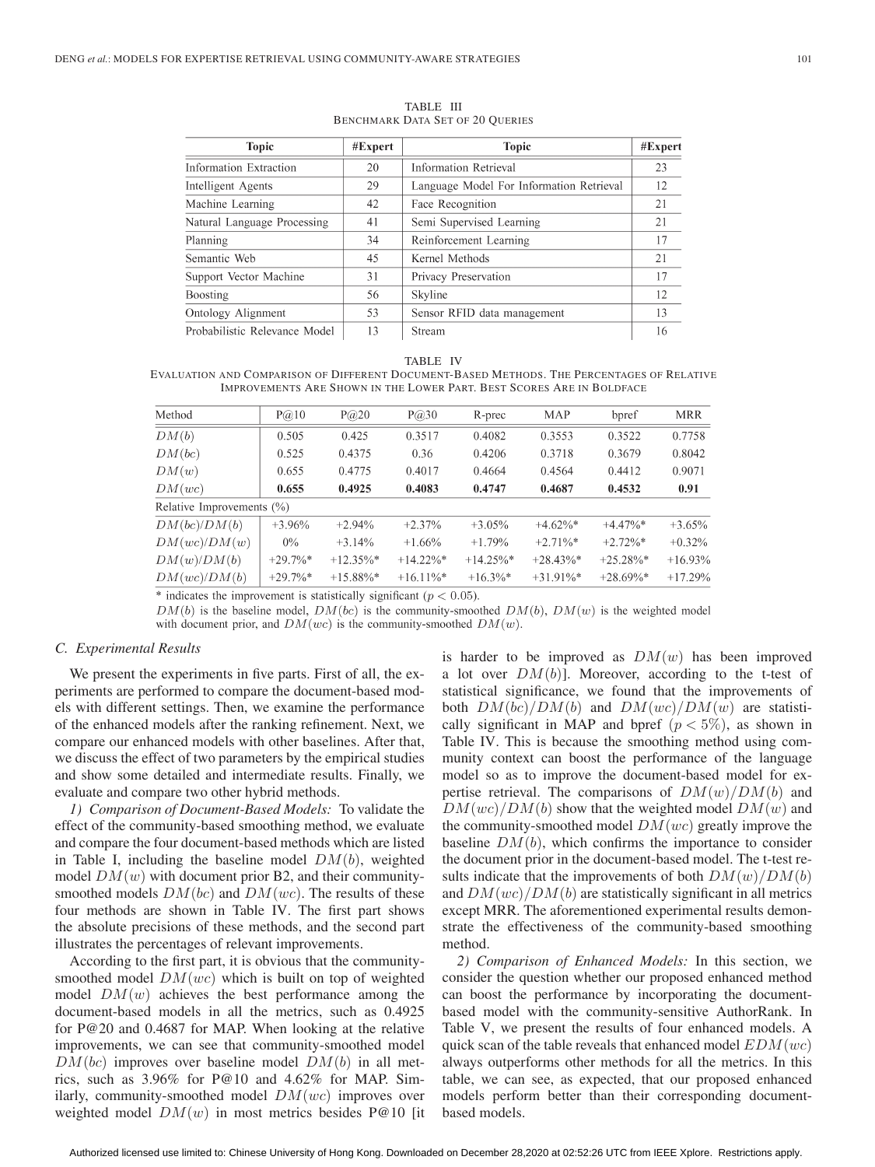| <b>Topic</b>                  | #Expert | <b>Topic</b>                             | #Expert |
|-------------------------------|---------|------------------------------------------|---------|
| Information Extraction        | 20      | <b>Information Retrieval</b>             | 23      |
| Intelligent Agents            | 29      | Language Model For Information Retrieval | 12      |
| Machine Learning              | 42      | Face Recognition                         | 21      |
| Natural Language Processing   | 41      | Semi Supervised Learning                 | 21      |
| Planning                      | 34      | Reinforcement Learning                   | 17      |
| Semantic Web                  | 45      | Kernel Methods                           | 21      |
| Support Vector Machine        | 31      | Privacy Preservation                     | 17      |
| <b>Boosting</b>               | 56      | Skyline                                  | 12      |
| Ontology Alignment            | 53      | Sensor RFID data management              | 13      |
| Probabilistic Relevance Model | 13      | Stream                                   | 16      |

TABLE III BENCHMARK DATA SET OF 20 QUERIES

#### TABLE IV

EVALUATION AND COMPARISON OF DIFFERENT DOCUMENT-BASED METHODS. THE PERCENTAGES OF RELATIVE IMPROVEMENTS ARE SHOWN IN THE LOWER PART. BEST SCORES ARE IN BOLDFACE

| Method                    | P(a)10      | $P(\partial 20)$ | P(a)30       | R-prec       | MAP          | bpref        | <b>MRR</b> |
|---------------------------|-------------|------------------|--------------|--------------|--------------|--------------|------------|
| DM(b)                     | 0.505       | 0.425            | 0.3517       | 0.4082       | 0.3553       | 0.3522       | 0.7758     |
| DM(bc)                    | 0.525       | 0.4375           | 0.36         | 0.4206       | 0.3718       | 0.3679       | 0.8042     |
| DM(w)                     | 0.655       | 0.4775           | 0.4017       | 0.4664       | 0.4564       | 0.4412       | 0.9071     |
| DM(wc)                    | 0.655       | 0.4925           | 0.4083       | 0.4747       | 0.4687       | 0.4532       | 0.91       |
| Relative Improvements (%) |             |                  |              |              |              |              |            |
| DM(bc)/DM(b)              | $+3.96\%$   | $+2.94%$         | $+2.37%$     | $+3.05%$     | $+4.62\%$ *  | $+4.47\%$ *  | $+3.65\%$  |
| DM(wc)/DM(w)              | $0\%$       | $+3.14%$         | $+1.66%$     | $+1.79%$     | $+2.71\%$ *  | $+2.72\%$ *  | $+0.32\%$  |
| DM(w)/DM(b)               | $+29.7\%$ * | $+12.35\%$ *     | $+14.22\%$ * | $+14.25\%$ * | $+28.43\%$ * | $+25.28\%$ * | $+16.93%$  |
| DM(wc)/DM(b)              | $+29.7\%$ * | $+15.88\%$ *     | $+16.11\%$ * | $+16.3\%$ *  | $+31.91\%*$  | $+28.69\%$ * | $+17.29%$  |
|                           |             |                  |              |              |              |              |            |

\* indicates the improvement is statistically significant ( $p < 0.05$ ).

 $DM(b)$  is the baseline model,  $DM(bc)$  is the community-smoothed  $DM(b)$ ,  $DM(w)$  is the weighted model

# with document prior, and  $DM(wc)$  is the community-smoothed  $DM(w)$ .

## *C. Experimental Results*

We present the experiments in five parts. First of all, the experiments are performed to compare the document-based models with different settings. Then, we examine the performance of the enhanced models after the ranking refinement. Next, we compare our enhanced models with other baselines. After that, we discuss the effect of two parameters by the empirical studies and show some detailed and intermediate results. Finally, we evaluate and compare two other hybrid methods.

*1) Comparison of Document-Based Models:* To validate the effect of the community-based smoothing method, we evaluate and compare the four document-based methods which are listed in Table I, including the baseline model  $DM(b)$ , weighted model  $DM(w)$  with document prior B2, and their communitysmoothed models  $DM(bc)$  and  $DM(wc)$ . The results of these four methods are shown in Table IV. The first part shows the absolute precisions of these methods, and the second part illustrates the percentages of relevant improvements.

According to the first part, it is obvious that the communitysmoothed model  $DM(wc)$  which is built on top of weighted model  $DM(w)$  achieves the best performance among the document-based models in all the metrics, such as 0.4925 for P@20 and 0.4687 for MAP. When looking at the relative improvements, we can see that community-smoothed model  $DM(bc)$  improves over baseline model  $DM(b)$  in all metrics, such as 3.96% for P@10 and 4.62% for MAP. Similarly, community-smoothed model  $DM(wc)$  improves over weighted model  $DM(w)$  in most metrics besides P@10 [it]

is harder to be improved as  $DM(w)$  has been improved a lot over  $DM(b)$ ]. Moreover, according to the t-test of statistical significance, we found that the improvements of both  $DM(bc)/DM(b)$  and  $DM(wc)/DM(w)$  are statistically significant in MAP and bpref  $(p < 5\%)$ , as shown in Table IV. This is because the smoothing method using community context can boost the performance of the language model so as to improve the document-based model for expertise retrieval. The comparisons of  $DM(w)/DM(b)$  and  $DM(wc)/DM(b)$  show that the weighted model  $DM(w)$  and the community-smoothed model  $DM(wc)$  greatly improve the baseline  $DM(b)$ , which confirms the importance to consider the document prior in the document-based model. The t-test results indicate that the improvements of both  $DM(w)/DM(b)$ and  $DM(wc)/DM(b)$  are statistically significant in all metrics except MRR. The aforementioned experimental results demonstrate the effectiveness of the community-based smoothing method.

*2) Comparison of Enhanced Models:* In this section, we consider the question whether our proposed enhanced method can boost the performance by incorporating the documentbased model with the community-sensitive AuthorRank. In Table V, we present the results of four enhanced models. A quick scan of the table reveals that enhanced model  $EDM(wc)$ always outperforms other methods for all the metrics. In this table, we can see, as expected, that our proposed enhanced models perform better than their corresponding documentbased models.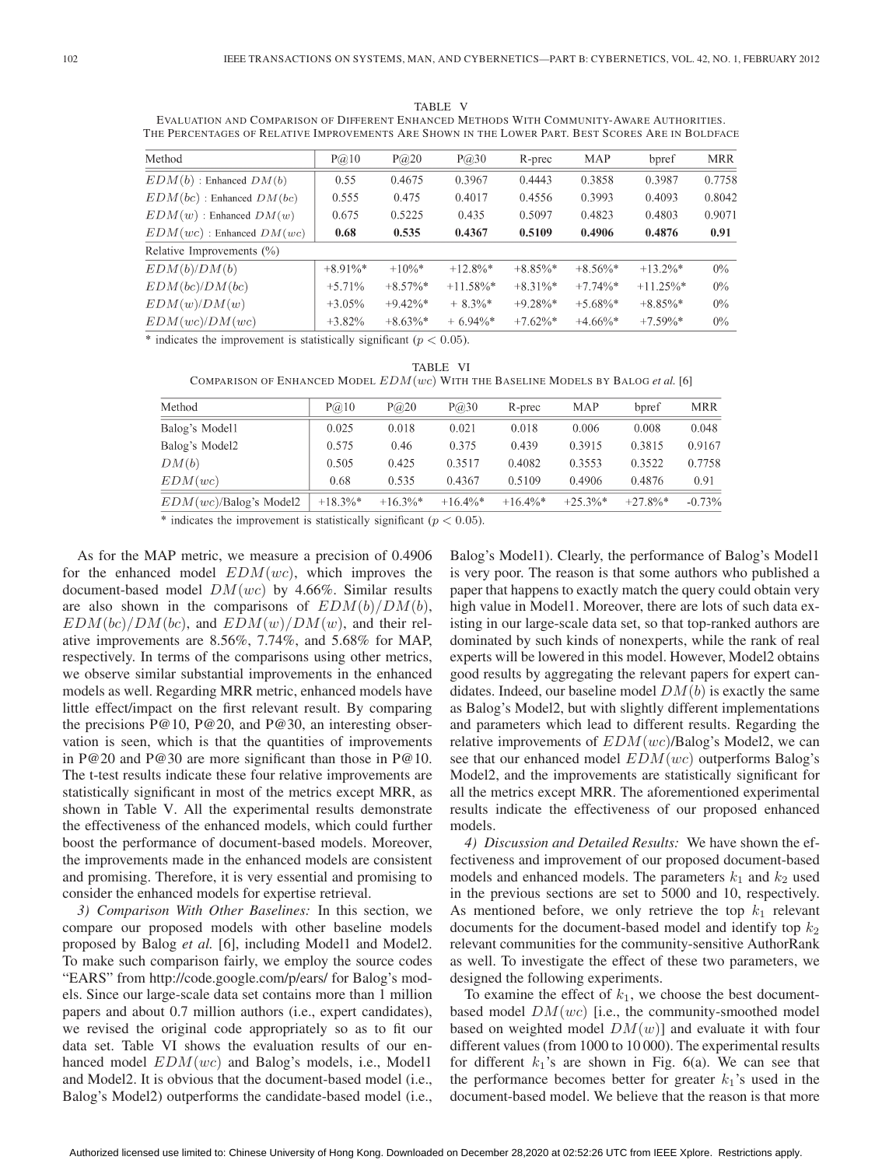TABLE V EVALUATION AND COMPARISON OF DIFFERENT ENHANCED METHODS WITH COMMUNITY-AWARE AUTHORITIES. THE PERCENTAGES OF RELATIVE IMPROVEMENTS ARE SHOWN IN THE LOWER PART. BEST SCORES ARE IN BOLDFACE

| Method                        | $P(\hat{\omega})$ 10 | P@20        | $P(\hat{\omega})$ 30 | R-prec      | MAP         | bpref        | <b>MRR</b> |
|-------------------------------|----------------------|-------------|----------------------|-------------|-------------|--------------|------------|
| $EDM(b)$ : Enhanced $DM(b)$   | 0.55                 | 0.4675      | 0.3967               | 0.4443      | 0.3858      | 0.3987       | 0.7758     |
| $EDM(bc)$ : Enhanced $DM(bc)$ | 0.555                | 0.475       | 0.4017               | 0.4556      | 0.3993      | 0.4093       | 0.8042     |
| $EDM(w)$ : Enhanced $DM(w)$   | 0.675                | 0.5225      | 0.435                | 0.5097      | 0.4823      | 0.4803       | 0.9071     |
| $EDM(wc)$ : Enhanced $DM(wc)$ | 0.68                 | 0.535       | 0.4367               | 0.5109      | 0.4906      | 0.4876       | 0.91       |
| Relative Improvements (%)     |                      |             |                      |             |             |              |            |
| EDM(b)/DM(b)                  | $+8.91\%$ *          | $+10\%$ *   | $+12.8\%$ *          | $+8.85\%$ * | $+8.56\%$ * | $+13.2\%$ *  | $0\%$      |
| EDM(bc)/DM(bc)                | $+5.71%$             | $+8.57\%$ * | $+11.58\%$ *         | $+8.31\%$ * | $+7.74\%$ * | $+11.25\%$ * | $0\%$      |
| EDM(w)/DM(w)                  | $+3.05%$             | $+9.42\%*$  | $+8.3\%$ *           | $+9.28\%$ * | $+5.68\%$ * | $+8.85\%$ *  | $0\%$      |
| EDM(wc)/DM(wc)                | $+3.82%$             | $+8.63\%$ * | $+6.94\%$ *          | $+7.62\%$ * | $+4.66\%$ * | $+7.59\%$ *  | $0\%$      |

\* indicates the improvement is statistically significant ( $p < 0.05$ ).

TABLE VI

COMPARISON OF ENHANCED MODEL EDM(wc) WITH THE BASELINE MODELS BY BALOG *et al.* [6]

| Method                    | P@10        | P@20        | P@30        | R-prec      | MAP         | bpref       | <b>MRR</b> |
|---------------------------|-------------|-------------|-------------|-------------|-------------|-------------|------------|
| Balog's Model1            | 0.025       | 0.018       | 0.021       | 0.018       | 0.006       | 0.008       | 0.048      |
| Balog's Model2            | 0.575       | 0.46        | 0.375       | 0.439       | 0.3915      | 0.3815      | 0.9167     |
| DM(b)                     | 0.505       | 0.425       | 0.3517      | 0.4082      | 0.3553      | 0.3522      | 0.7758     |
| EDM(wc)                   | 0.68        | 0.535       | 0.4367      | 0.5109      | 0.4906      | 0.4876      | 0.91       |
| $EDM(wc)$ /Balog's Model2 | $+18.3\%$ * | $+16.3\%$ * | $+16.4\%$ * | $+16.4\%$ * | $+25.3\%$ * | $+27.8\%$ * | $-0.73%$   |
|                           |             |             |             |             |             |             |            |

\* indicates the improvement is statistically significant ( $p < 0.05$ ).

As for the MAP metric, we measure a precision of 0.4906 for the enhanced model  $EDM(wc)$ , which improves the document-based model  $DM(wc)$  by 4.66%. Similar results are also shown in the comparisons of  $EDM(b)/DM(b)$ ,  $EDM(bc)/DM(bc)$ , and  $EDM(w)/DM(w)$ , and their relative improvements are 8.56%, 7.74%, and 5.68% for MAP, respectively. In terms of the comparisons using other metrics, we observe similar substantial improvements in the enhanced models as well. Regarding MRR metric, enhanced models have little effect/impact on the first relevant result. By comparing the precisions P@10, P@20, and P@30, an interesting observation is seen, which is that the quantities of improvements in P@20 and P@30 are more significant than those in P@10. The t-test results indicate these four relative improvements are statistically significant in most of the metrics except MRR, as shown in Table V. All the experimental results demonstrate the effectiveness of the enhanced models, which could further boost the performance of document-based models. Moreover, the improvements made in the enhanced models are consistent and promising. Therefore, it is very essential and promising to consider the enhanced models for expertise retrieval.

*3) Comparison With Other Baselines:* In this section, we compare our proposed models with other baseline models proposed by Balog *et al.* [6], including Model1 and Model2. To make such comparison fairly, we employ the source codes "EARS" from http://code.google.com/p/ears/ for Balog's models. Since our large-scale data set contains more than 1 million papers and about 0.7 million authors (i.e., expert candidates), we revised the original code appropriately so as to fit our data set. Table VI shows the evaluation results of our enhanced model  $EDM(wc)$  and Balog's models, i.e., Model1 and Model2. It is obvious that the document-based model (i.e., Balog's Model2) outperforms the candidate-based model (i.e., Balog's Model1). Clearly, the performance of Balog's Model1 is very poor. The reason is that some authors who published a paper that happens to exactly match the query could obtain very high value in Model1. Moreover, there are lots of such data existing in our large-scale data set, so that top-ranked authors are dominated by such kinds of nonexperts, while the rank of real experts will be lowered in this model. However, Model2 obtains good results by aggregating the relevant papers for expert candidates. Indeed, our baseline model  $DM(b)$  is exactly the same as Balog's Model2, but with slightly different implementations and parameters which lead to different results. Regarding the relative improvements of  $EDM(wc)/Balog's Model2$ , we can see that our enhanced model  $EDM(wc)$  outperforms Balog's Model2, and the improvements are statistically significant for all the metrics except MRR. The aforementioned experimental results indicate the effectiveness of our proposed enhanced models.

*4) Discussion and Detailed Results:* We have shown the effectiveness and improvement of our proposed document-based models and enhanced models. The parameters  $k_1$  and  $k_2$  used in the previous sections are set to 5000 and 10, respectively. As mentioned before, we only retrieve the top  $k_1$  relevant documents for the document-based model and identify top  $k_2$ relevant communities for the community-sensitive AuthorRank as well. To investigate the effect of these two parameters, we designed the following experiments.

To examine the effect of  $k_1$ , we choose the best documentbased model  $DM(wc)$  [i.e., the community-smoothed model based on weighted model  $DM(w)$ ] and evaluate it with four different values (from 1000 to 10 000). The experimental results for different  $k_1$ 's are shown in Fig. 6(a). We can see that the performance becomes better for greater  $k_1$ 's used in the document-based model. We believe that the reason is that more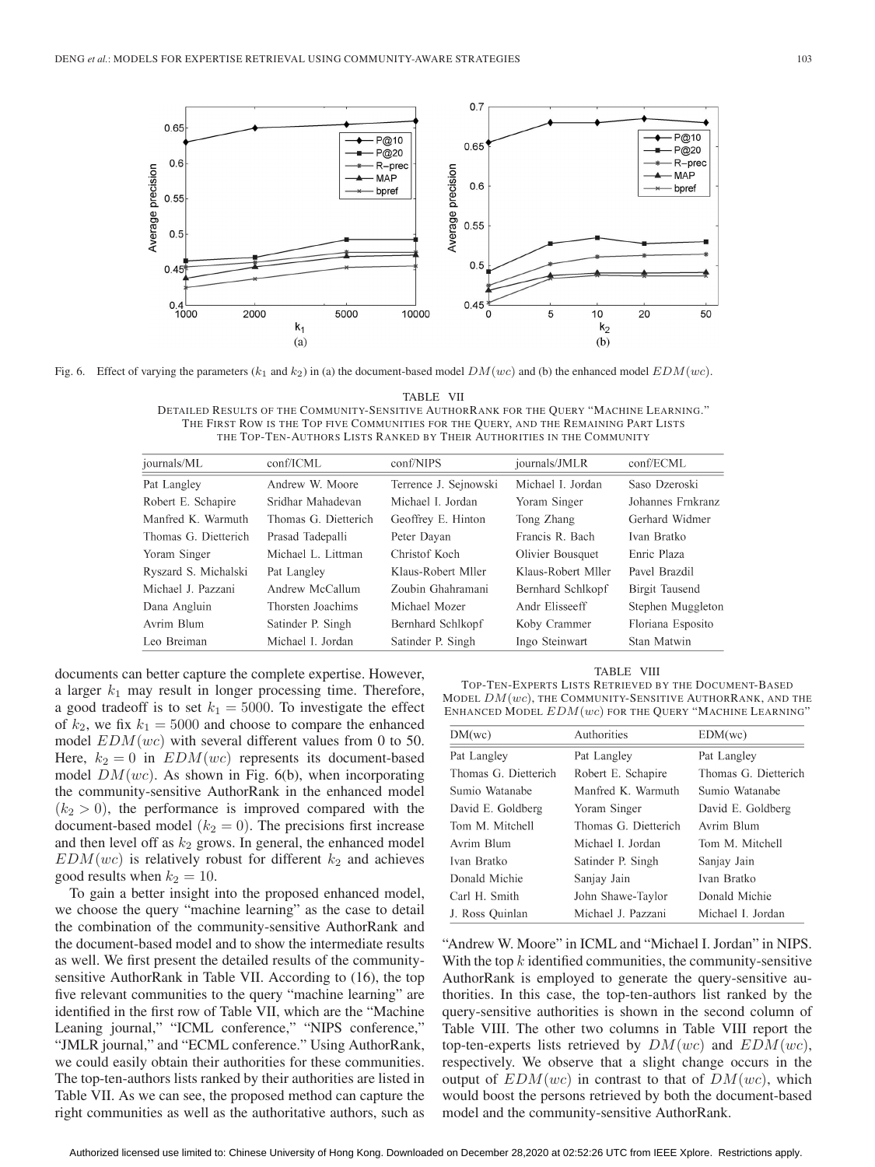

Fig. 6. Effect of varying the parameters  $(k_1 \text{ and } k_2)$  in (a) the document-based model  $DM(wc)$  and (b) the enhanced model  $EDM(wc)$ .

TABLE VII

DETAILED RESULTS OF THE COMMUNITY-SENSITIVE AUTHORRANK FOR THE QUERY "MACHINE LEARNING." THE FIRST ROW IS THE TOP FIVE COMMUNITIES FOR THE QUERY, AND THE REMAINING PART LISTS THE TOP-TEN-AUTHORS LISTS RANKED BY THEIR AUTHORITIES IN THE COMMUNITY

| journals/ML          | conf/ICML            | conf/NIPS             | journals/JMLR      | conf/ECML         |
|----------------------|----------------------|-----------------------|--------------------|-------------------|
| Pat Langley          | Andrew W. Moore      | Terrence J. Sejnowski | Michael I. Jordan  | Saso Dzeroski     |
| Robert E. Schapire   | Sridhar Mahadevan    | Michael L. Jordan     | Yoram Singer       | Johannes Frnkranz |
| Manfred K. Warmuth   | Thomas G. Dietterich | Geoffrey E. Hinton    | Tong Zhang         | Gerhard Widmer    |
| Thomas G. Dietterich | Prasad Tadepalli     | Peter Davan           | Francis R. Bach    | Ivan Bratko       |
| Yoram Singer         | Michael L. Littman   | Christof Koch         | Olivier Bousquet   | Enric Plaza       |
| Ryszard S. Michalski | Pat Langley          | Klaus-Robert Miler    | Klaus-Robert Mller | Pavel Brazdil     |
| Michael J. Pazzani   | Andrew McCallum      | Zoubin Ghahramani     | Bernhard Schlkopf  | Birgit Tausend    |
| Dana Angluin         | Thorsten Joachims    | Michael Mozer         | Andr Elisseeff     | Stephen Muggleton |
| Avrim Blum           | Satinder P. Singh    | Bernhard Schlkopf     | Koby Crammer       | Floriana Esposito |
| Leo Breiman          | Michael I. Jordan    | Satinder P. Singh     | Ingo Steinwart     | Stan Matwin       |

documents can better capture the complete expertise. However, a larger  $k_1$  may result in longer processing time. Therefore, a good tradeoff is to set  $k_1 = 5000$ . To investigate the effect of  $k_2$ , we fix  $k_1 = 5000$  and choose to compare the enhanced model  $EDM(wc)$  with several different values from 0 to 50. Here,  $k_2 = 0$  in  $EDM(wc)$  represents its document-based model  $DM(wc)$ . As shown in Fig. 6(b), when incorporating the community-sensitive AuthorRank in the enhanced model  $(k_2 > 0)$ , the performance is improved compared with the document-based model ( $k_2 = 0$ ). The precisions first increase and then level off as  $k_2$  grows. In general, the enhanced model  $EDM(wc)$  is relatively robust for different  $k_2$  and achieves good results when  $k_2 = 10$ .

To gain a better insight into the proposed enhanced model, we choose the query "machine learning" as the case to detail the combination of the community-sensitive AuthorRank and the document-based model and to show the intermediate results as well. We first present the detailed results of the communitysensitive AuthorRank in Table VII. According to (16), the top five relevant communities to the query "machine learning" are identified in the first row of Table VII, which are the "Machine Leaning journal," "ICML conference," "NIPS conference," "JMLR journal," and "ECML conference." Using AuthorRank, we could easily obtain their authorities for these communities. The top-ten-authors lists ranked by their authorities are listed in Table VII. As we can see, the proposed method can capture the right communities as well as the authoritative authors, such as

TABLE VIII

TOP-TEN-EXPERTS LISTS RETRIEVED BY THE DOCUMENT-BASED MODEL  $DM(wc)$ , THE COMMUNITY-SENSITIVE AUTHORRANK, AND THE ENHANCED MODEL EDM(wc) FOR THE QUERY "MACHINE LEARNING"

| DM(wc)               | Authorities          | EDM(wc)              |
|----------------------|----------------------|----------------------|
| Pat Langley          | Pat Langley          | Pat Langley          |
| Thomas G. Dietterich | Robert E. Schapire   | Thomas G. Dietterich |
| Sumio Watanabe       | Manfred K. Warmuth   | Sumio Watanabe       |
| David E. Goldberg    | Yoram Singer         | David E. Goldberg    |
| Tom M. Mitchell      | Thomas G. Dietterich | Avrim Blum           |
| Avrim Blum           | Michael I. Jordan    | Tom M. Mitchell      |
| Ivan Bratko          | Satinder P. Singh    | Sanjay Jain          |
| Donald Michie        | Sanjay Jain          | Ivan Bratko          |
| Carl H. Smith        | John Shawe-Taylor    | Donald Michie        |
| J. Ross Ouinlan      | Michael J. Pazzani   | Michael I. Jordan    |

"Andrew W. Moore" in ICML and "Michael I. Jordan" in NIPS. With the top  $k$  identified communities, the community-sensitive AuthorRank is employed to generate the query-sensitive authorities. In this case, the top-ten-authors list ranked by the query-sensitive authorities is shown in the second column of Table VIII. The other two columns in Table VIII report the top-ten-experts lists retrieved by  $DM(wc)$  and  $EDM(wc)$ , respectively. We observe that a slight change occurs in the output of  $EDM(wc)$  in contrast to that of  $DM(wc)$ , which would boost the persons retrieved by both the document-based model and the community-sensitive AuthorRank.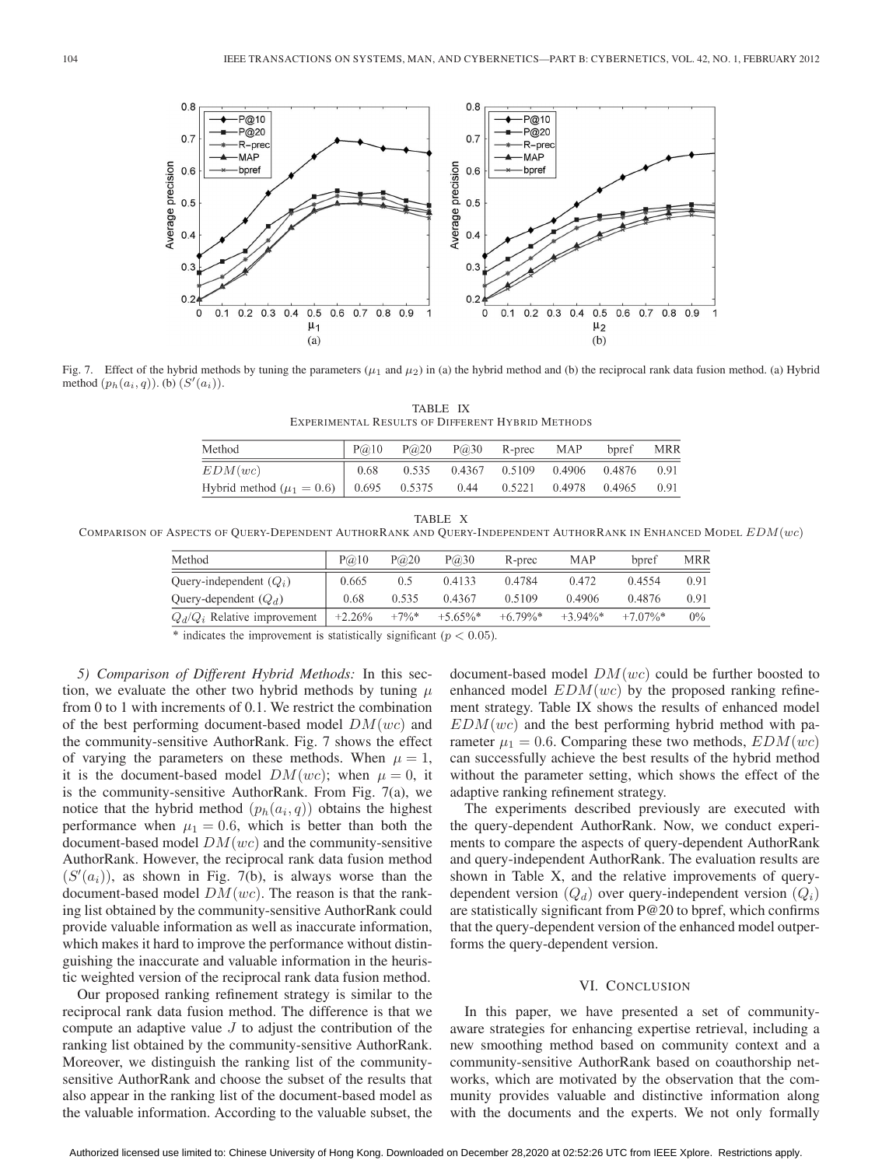

Fig. 7. Effect of the hybrid methods by tuning the parameters ( $\mu_1$  and  $\mu_2$ ) in (a) the hybrid method and (b) the reciprocal rank data fusion method. (a) Hybrid method  $(p_h(a_i, q))$ . (b)  $(S'(a_i))$ .

TABLE IX EXPERIMENTAL RESULTS OF DIFFERENT HYBRID METHODS

| Method                                         | P@10 | P@20  | P@30 | R-prec                      | MAP           | bpref | MRR  |
|------------------------------------------------|------|-------|------|-----------------------------|---------------|-------|------|
| EDM(wc)                                        | 0.68 | 0.535 |      | 0.4367 0.5109 0.4906 0.4876 |               |       | 0.91 |
| Hybrid method ( $\mu_1 = 0.6$ )   0.695 0.5375 |      |       | 0.44 | 0.5221                      | 0.4978 0.4965 |       | 0.91 |

| ш |  |
|---|--|
|---|--|

COMPARISON OF ASPECTS OF QUERY-DEPENDENT AUTHORRANK AND QUERY-INDEPENDENT AUTHORRANK IN ENHANCED MODEL  $EDM(wc)$ 

| Method                         | P@10     | P@20    | P@30        | R-prec     | MAP        | bpref       | MRR   |
|--------------------------------|----------|---------|-------------|------------|------------|-------------|-------|
| Query-independent $(Q_i)$      | 0.665    | 0.5     | 0.4133      | 0.4784     | 0.472      | 0.4554      | 0.91  |
| Query-dependent $(Q_d)$        | 0.68     | 0.535   | 0.4367      | 0.5109     | 0.4906     | 0.4876      | 0.91  |
| $Q_d/Q_i$ Relative improvement | $+2.26%$ | $+7\%*$ | $+5.65\%$ * | $+6.79\%*$ | $+3.94\%*$ | $+7.07\%$ * | $0\%$ |
|                                |          |         |             |            |            |             |       |

\* indicates the improvement is statistically significant ( $p < 0.05$ ).

*5) Comparison of Different Hybrid Methods:* In this section, we evaluate the other two hybrid methods by tuning  $\mu$ from 0 to 1 with increments of 0.1. We restrict the combination of the best performing document-based model  $DM(wc)$  and the community-sensitive AuthorRank. Fig. 7 shows the effect of varying the parameters on these methods. When  $\mu = 1$ , it is the document-based model  $DM(wc)$ ; when  $\mu = 0$ , it is the community-sensitive AuthorRank. From Fig.  $7(a)$ , we notice that the hybrid method  $(p_h(a_i, q))$  obtains the highest performance when  $\mu_1 = 0.6$ , which is better than both the document-based model  $DM(wc)$  and the community-sensitive AuthorRank. However, the reciprocal rank data fusion method  $(S'(a_i))$ , as shown in Fig. 7(b), is always worse than the document-based model  $DM(wc)$ . The reason is that the ranking list obtained by the community-sensitive AuthorRank could provide valuable information as well as inaccurate information, which makes it hard to improve the performance without distinguishing the inaccurate and valuable information in the heuristic weighted version of the reciprocal rank data fusion method.

Our proposed ranking refinement strategy is similar to the reciprocal rank data fusion method. The difference is that we compute an adaptive value  $J$  to adjust the contribution of the ranking list obtained by the community-sensitive AuthorRank. Moreover, we distinguish the ranking list of the communitysensitive AuthorRank and choose the subset of the results that also appear in the ranking list of the document-based model as the valuable information. According to the valuable subset, the document-based model  $DM(wc)$  could be further boosted to enhanced model  $EDM(wc)$  by the proposed ranking refinement strategy. Table IX shows the results of enhanced model  $EDM(wc)$  and the best performing hybrid method with parameter  $\mu_1 = 0.6$ . Comparing these two methods,  $EDM(wc)$ can successfully achieve the best results of the hybrid method without the parameter setting, which shows the effect of the adaptive ranking refinement strategy.

The experiments described previously are executed with the query-dependent AuthorRank. Now, we conduct experiments to compare the aspects of query-dependent AuthorRank and query-independent AuthorRank. The evaluation results are shown in Table X, and the relative improvements of querydependent version  $(Q_d)$  over query-independent version  $(Q_i)$ are statistically significant from P@20 to bpref, which confirms that the query-dependent version of the enhanced model outperforms the query-dependent version.

## VI. CONCLUSION

In this paper, we have presented a set of communityaware strategies for enhancing expertise retrieval, including a new smoothing method based on community context and a community-sensitive AuthorRank based on coauthorship networks, which are motivated by the observation that the community provides valuable and distinctive information along with the documents and the experts. We not only formally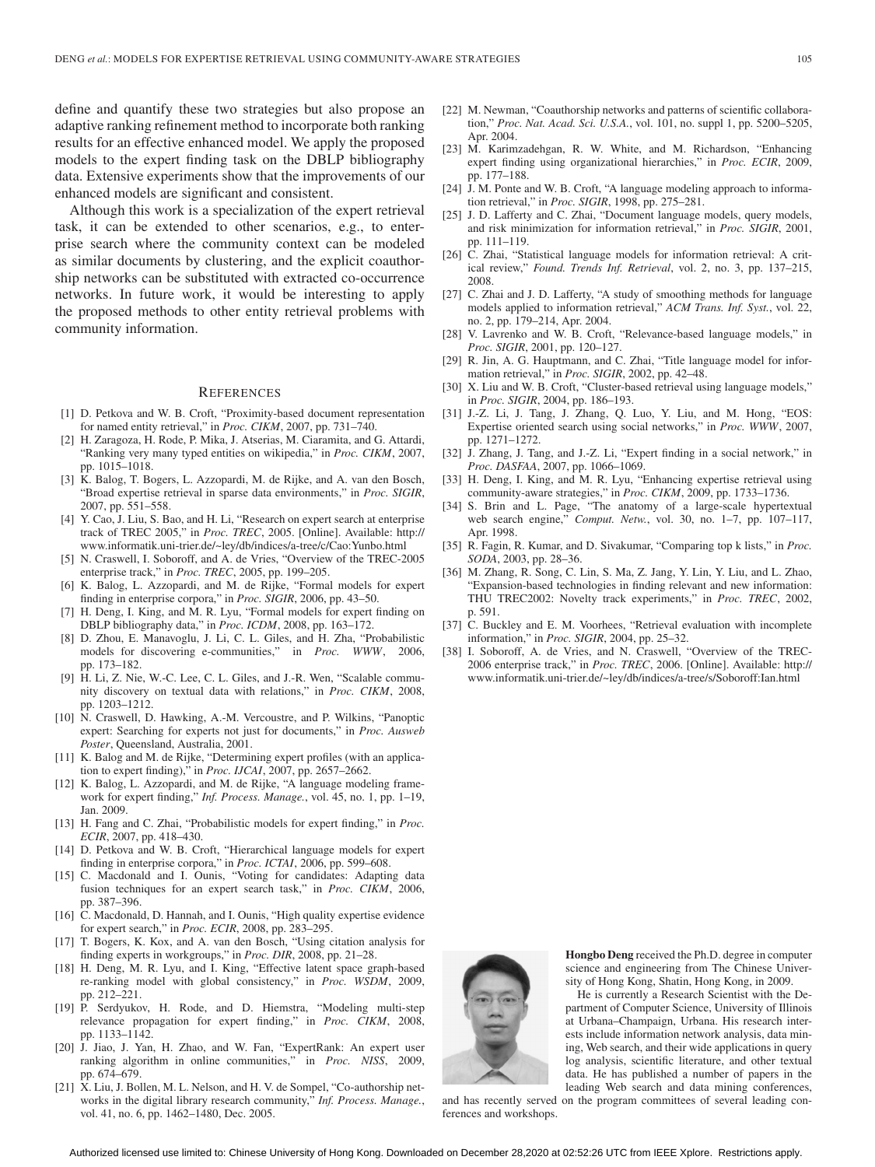define and quantify these two strategies but also propose an adaptive ranking refinement method to incorporate both ranking results for an effective enhanced model. We apply the proposed models to the expert finding task on the DBLP bibliography data. Extensive experiments show that the improvements of our enhanced models are significant and consistent.

Although this work is a specialization of the expert retrieval task, it can be extended to other scenarios, e.g., to enterprise search where the community context can be modeled as similar documents by clustering, and the explicit coauthorship networks can be substituted with extracted co-occurrence networks. In future work, it would be interesting to apply the proposed methods to other entity retrieval problems with community information.

#### **REFERENCES**

- [1] D. Petkova and W. B. Croft, "Proximity-based document representation for named entity retrieval," in *Proc. CIKM*, 2007, pp. 731–740.
- [2] H. Zaragoza, H. Rode, P. Mika, J. Atserias, M. Ciaramita, and G. Attardi, "Ranking very many typed entities on wikipedia," in *Proc. CIKM*, 2007, pp. 1015–1018.
- [3] K. Balog, T. Bogers, L. Azzopardi, M. de Rijke, and A. van den Bosch, "Broad expertise retrieval in sparse data environments," in *Proc. SIGIR*, 2007, pp. 551–558.
- [4] Y. Cao, J. Liu, S. Bao, and H. Li, "Research on expert search at enterprise track of TREC 2005," in *Proc. TREC*, 2005. [Online]. Available: http:// www.informatik.uni-trier.de/~ley/db/indices/a-tree/c/Cao:Yunbo.html
- [5] N. Craswell, I. Soboroff, and A. de Vries, "Overview of the TREC-2005 enterprise track," in *Proc. TREC*, 2005, pp. 199–205.
- [6] K. Balog, L. Azzopardi, and M. de Rijke, "Formal models for expert finding in enterprise corpora," in *Proc. SIGIR*, 2006, pp. 43–50.
- [7] H. Deng, I. King, and M. R. Lyu, "Formal models for expert finding on DBLP bibliography data," in *Proc. ICDM*, 2008, pp. 163–172.
- [8] D. Zhou, E. Manavoglu, J. Li, C. L. Giles, and H. Zha, "Probabilistic models for discovering e-communities," in *Proc. WWW*, 2006, pp. 173–182.
- [9] H. Li, Z. Nie, W.-C. Lee, C. L. Giles, and J.-R. Wen, "Scalable community discovery on textual data with relations," in *Proc. CIKM*, 2008, pp. 1203–1212.
- [10] N. Craswell, D. Hawking, A.-M. Vercoustre, and P. Wilkins, "Panoptic expert: Searching for experts not just for documents," in *Proc. Ausweb Poster*, Queensland, Australia, 2001.
- [11] K. Balog and M. de Rijke, "Determining expert profiles (with an application to expert finding)," in *Proc. IJCAI*, 2007, pp. 2657–2662.
- [12] K. Balog, L. Azzopardi, and M. de Rijke, "A language modeling framework for expert finding," *Inf. Process. Manage.*, vol. 45, no. 1, pp. 1–19, Jan. 2009.
- [13] H. Fang and C. Zhai, "Probabilistic models for expert finding," in *Proc. ECIR*, 2007, pp. 418–430.
- [14] D. Petkova and W. B. Croft, "Hierarchical language models for expert finding in enterprise corpora," in *Proc. ICTAI*, 2006, pp. 599–608.
- [15] C. Macdonald and I. Ounis, "Voting for candidates: Adapting data fusion techniques for an expert search task," in *Proc. CIKM*, 2006, pp. 387–396.
- [16] C. Macdonald, D. Hannah, and I. Ounis, "High quality expertise evidence for expert search," in *Proc. ECIR*, 2008, pp. 283–295.
- [17] T. Bogers, K. Kox, and A. van den Bosch, "Using citation analysis for finding experts in workgroups," in *Proc. DIR*, 2008, pp. 21–28.
- [18] H. Deng, M. R. Lyu, and I. King, "Effective latent space graph-based re-ranking model with global consistency," in *Proc. WSDM*, 2009, pp. 212–221.
- [19] P. Serdyukov, H. Rode, and D. Hiemstra, "Modeling multi-step relevance propagation for expert finding," in *Proc. CIKM*, 2008, pp. 1133–1142.
- [20] J. Jiao, J. Yan, H. Zhao, and W. Fan, "ExpertRank: An expert user ranking algorithm in online communities," in *Proc. NISS*, 2009, pp. 674–679.
- [21] X. Liu, J. Bollen, M. L. Nelson, and H. V. de Sompel, "Co-authorship networks in the digital library research community," *Inf. Process. Manage.*, vol. 41, no. 6, pp. 1462–1480, Dec. 2005.
- [22] M. Newman, "Coauthorship networks and patterns of scientific collaboration," *Proc. Nat. Acad. Sci. U.S.A.*, vol. 101, no. suppl 1, pp. 5200–5205, Apr. 2004.
- [23] M. Karimzadehgan, R. W. White, and M. Richardson, "Enhancing expert finding using organizational hierarchies," in *Proc. ECIR*, 2009, pp. 177–188.
- [24] J. M. Ponte and W. B. Croft, "A language modeling approach to information retrieval," in *Proc. SIGIR*, 1998, pp. 275–281.
- [25] J. D. Lafferty and C. Zhai, "Document language models, query models, and risk minimization for information retrieval," in *Proc. SIGIR*, 2001, pp. 111–119.
- [26] C. Zhai, "Statistical language models for information retrieval: A critical review," *Found. Trends Inf. Retrieval*, vol. 2, no. 3, pp. 137–215, 2008.
- [27] C. Zhai and J. D. Lafferty, "A study of smoothing methods for language models applied to information retrieval," *ACM Trans. Inf. Syst.*, vol. 22, no. 2, pp. 179–214, Apr. 2004.
- [28] V. Lavrenko and W. B. Croft, "Relevance-based language models," in *Proc. SIGIR*, 2001, pp. 120–127.
- [29] R. Jin, A. G. Hauptmann, and C. Zhai, "Title language model for information retrieval," in *Proc. SIGIR*, 2002, pp. 42–48.
- [30] X. Liu and W. B. Croft, "Cluster-based retrieval using language models," in *Proc. SIGIR*, 2004, pp. 186–193.
- [31] J.-Z. Li, J. Tang, J. Zhang, Q. Luo, Y. Liu, and M. Hong, "EOS: Expertise oriented search using social networks," in *Proc. WWW*, 2007, pp. 1271–1272.
- [32] J. Zhang, J. Tang, and J.-Z. Li, "Expert finding in a social network," in *Proc. DASFAA*, 2007, pp. 1066–1069.
- [33] H. Deng, I. King, and M. R. Lyu, "Enhancing expertise retrieval using community-aware strategies," in *Proc. CIKM*, 2009, pp. 1733–1736.
- [34] S. Brin and L. Page, "The anatomy of a large-scale hypertextual web search engine," *Comput. Netw.*, vol. 30, no. 1–7, pp. 107–117, Apr. 1998.
- [35] R. Fagin, R. Kumar, and D. Sivakumar, "Comparing top k lists," in *Proc. SODA*, 2003, pp. 28–36.
- [36] M. Zhang, R. Song, C. Lin, S. Ma, Z. Jang, Y. Lin, Y. Liu, and L. Zhao, "Expansion-based technologies in finding relevant and new information: THU TREC2002: Novelty track experiments," in *Proc. TREC*, 2002, p. 591.
- [37] C. Buckley and E. M. Voorhees, "Retrieval evaluation with incomplete information," in *Proc. SIGIR*, 2004, pp. 25–32.
- [38] I. Soboroff, A. de Vries, and N. Craswell, "Overview of the TREC-2006 enterprise track," in *Proc. TREC*, 2006. [Online]. Available: http:// www.informatik.uni-trier.de/~ley/db/indices/a-tree/s/Soboroff:Ian.html



**Hongbo Deng** received the Ph.D. degree in computer science and engineering from The Chinese University of Hong Kong, Shatin, Hong Kong, in 2009.

He is currently a Research Scientist with the Department of Computer Science, University of Illinois at Urbana–Champaign, Urbana. His research interests include information network analysis, data mining, Web search, and their wide applications in query log analysis, scientific literature, and other textual data. He has published a number of papers in the leading Web search and data mining conferences,

and has recently served on the program committees of several leading conferences and workshops.